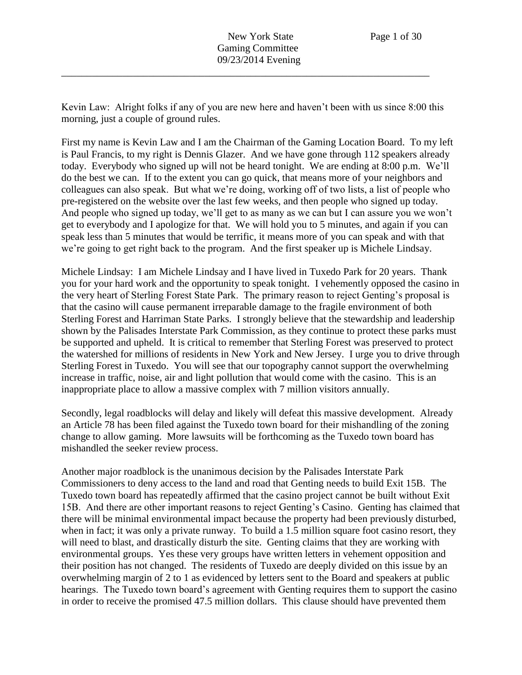Kevin Law: Alright folks if any of you are new here and haven't been with us since 8:00 this morning, just a couple of ground rules.

\_\_\_\_\_\_\_\_\_\_\_\_\_\_\_\_\_\_\_\_\_\_\_\_\_\_\_\_\_\_\_\_\_\_\_\_\_\_\_\_\_\_\_\_\_\_\_\_\_\_\_\_\_\_\_\_\_\_\_\_\_\_\_\_\_\_\_\_\_\_\_\_

First my name is Kevin Law and I am the Chairman of the Gaming Location Board. To my left is Paul Francis, to my right is Dennis Glazer. And we have gone through 112 speakers already today. Everybody who signed up will not be heard tonight. We are ending at 8:00 p.m. We'll do the best we can. If to the extent you can go quick, that means more of your neighbors and colleagues can also speak. But what we're doing, working off of two lists, a list of people who pre-registered on the website over the last few weeks, and then people who signed up today. And people who signed up today, we'll get to as many as we can but I can assure you we won't get to everybody and I apologize for that. We will hold you to 5 minutes, and again if you can speak less than 5 minutes that would be terrific, it means more of you can speak and with that we're going to get right back to the program. And the first speaker up is Michele Lindsay.

Michele Lindsay: I am Michele Lindsay and I have lived in Tuxedo Park for 20 years. Thank you for your hard work and the opportunity to speak tonight. I vehemently opposed the casino in the very heart of Sterling Forest State Park. The primary reason to reject Genting's proposal is that the casino will cause permanent irreparable damage to the fragile environment of both Sterling Forest and Harriman State Parks. I strongly believe that the stewardship and leadership shown by the Palisades Interstate Park Commission, as they continue to protect these parks must be supported and upheld. It is critical to remember that Sterling Forest was preserved to protect the watershed for millions of residents in New York and New Jersey. I urge you to drive through Sterling Forest in Tuxedo. You will see that our topography cannot support the overwhelming increase in traffic, noise, air and light pollution that would come with the casino. This is an inappropriate place to allow a massive complex with 7 million visitors annually.

Secondly, legal roadblocks will delay and likely will defeat this massive development. Already an Article 78 has been filed against the Tuxedo town board for their mishandling of the zoning change to allow gaming. More lawsuits will be forthcoming as the Tuxedo town board has mishandled the seeker review process.

Another major roadblock is the unanimous decision by the Palisades Interstate Park Commissioners to deny access to the land and road that Genting needs to build Exit 15B. The Tuxedo town board has repeatedly affirmed that the casino project cannot be built without Exit 15B. And there are other important reasons to reject Genting's Casino. Genting has claimed that there will be minimal environmental impact because the property had been previously disturbed, when in fact; it was only a private runway. To build a 1.5 million square foot casino resort, they will need to blast, and drastically disturb the site. Genting claims that they are working with environmental groups. Yes these very groups have written letters in vehement opposition and their position has not changed. The residents of Tuxedo are deeply divided on this issue by an overwhelming margin of 2 to 1 as evidenced by letters sent to the Board and speakers at public hearings. The Tuxedo town board's agreement with Genting requires them to support the casino in order to receive the promised 47.5 million dollars. This clause should have prevented them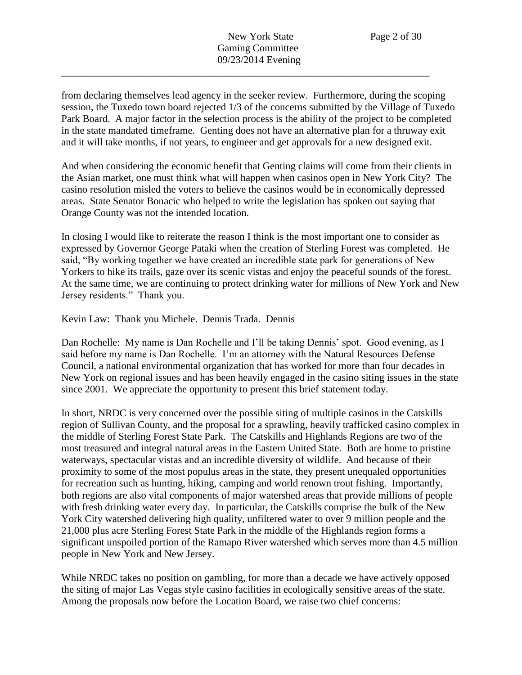from declaring themselves lead agency in the seeker review. Furthermore, during the scoping session, the Tuxedo town board rejected 1/3 of the concerns submitted by the Village of Tuxedo Park Board. A major factor in the selection process is the ability of the project to be completed in the state mandated timeframe. Genting does not have an alternative plan for a thruway exit and it will take months, if not years, to engineer and get approvals for a new designed exit.

And when considering the economic benefit that Genting claims will come from their clients in the Asian market, one must think what will happen when casinos open in New York City? The casino resolution misled the voters to believe the casinos would be in economically depressed areas. State Senator Bonacic who helped to write the legislation has spoken out saying that Orange County was not the intended location.

In closing I would like to reiterate the reason I think is the most important one to consider as expressed by Governor George Pataki when the creation of Sterling Forest was completed. He said, "By working together we have created an incredible state park for generations of New Yorkers to hike its trails, gaze over its scenic vistas and enjoy the peaceful sounds of the forest. At the same time, we are continuing to protect drinking water for millions of New York and New Jersey residents." Thank you.

Kevin Law: Thank you Michele. Dennis Trada. Dennis

Dan Rochelle: My name is Dan Rochelle and I'll be taking Dennis' spot. Good evening, as I said before my name is Dan Rochelle. I'm an attorney with the Natural Resources Defense Council, a national environmental organization that has worked for more than four decades in New York on regional issues and has been heavily engaged in the casino siting issues in the state since 2001. We appreciate the opportunity to present this brief statement today.

In short, NRDC is very concerned over the possible siting of multiple casinos in the Catskills region of Sullivan County, and the proposal for a sprawling, heavily trafficked casino complex in the middle of Sterling Forest State Park. The Catskills and Highlands Regions are two of the most treasured and integral natural areas in the Eastern United State. Both are home to pristine waterways, spectacular vistas and an incredible diversity of wildlife. And because of their proximity to some of the most populus areas in the state, they present unequaled opportunities for recreation such as hunting, hiking, camping and world renown trout fishing. Importantly, both regions are also vital components of major watershed areas that provide millions of people with fresh drinking water every day. In particular, the Catskills comprise the bulk of the New York City watershed delivering high quality, unfiltered water to over 9 million people and the 21,000 plus acre Sterling Forest State Park in the middle of the Highlands region forms a significant unspoiled portion of the Ramapo River watershed which serves more than 4.5 million people in New York and New Jersey.

While NRDC takes no position on gambling, for more than a decade we have actively opposed the siting of major Las Vegas style casino facilities in ecologically sensitive areas of the state. Among the proposals now before the Location Board, we raise two chief concerns: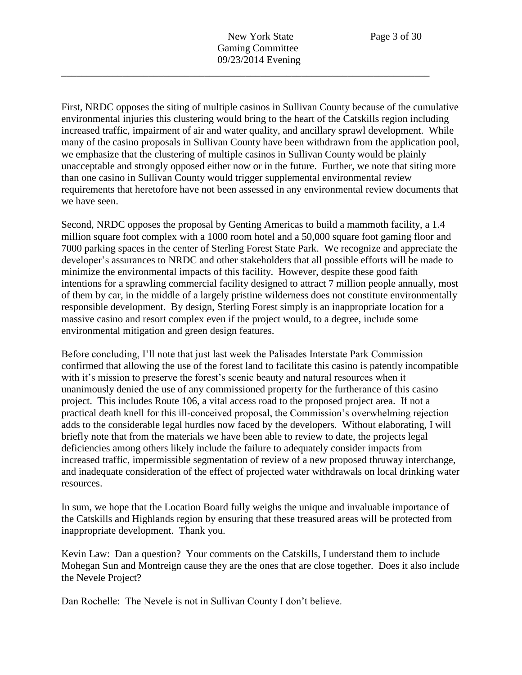First, NRDC opposes the siting of multiple casinos in Sullivan County because of the cumulative environmental injuries this clustering would bring to the heart of the Catskills region including increased traffic, impairment of air and water quality, and ancillary sprawl development. While many of the casino proposals in Sullivan County have been withdrawn from the application pool, we emphasize that the clustering of multiple casinos in Sullivan County would be plainly unacceptable and strongly opposed either now or in the future. Further, we note that siting more than one casino in Sullivan County would trigger supplemental environmental review requirements that heretofore have not been assessed in any environmental review documents that we have seen.

Second, NRDC opposes the proposal by Genting Americas to build a mammoth facility, a 1.4 million square foot complex with a 1000 room hotel and a 50,000 square foot gaming floor and 7000 parking spaces in the center of Sterling Forest State Park. We recognize and appreciate the developer's assurances to NRDC and other stakeholders that all possible efforts will be made to minimize the environmental impacts of this facility. However, despite these good faith intentions for a sprawling commercial facility designed to attract 7 million people annually, most of them by car, in the middle of a largely pristine wilderness does not constitute environmentally responsible development. By design, Sterling Forest simply is an inappropriate location for a massive casino and resort complex even if the project would, to a degree, include some environmental mitigation and green design features.

Before concluding, I'll note that just last week the Palisades Interstate Park Commission confirmed that allowing the use of the forest land to facilitate this casino is patently incompatible with it's mission to preserve the forest's scenic beauty and natural resources when it unanimously denied the use of any commissioned property for the furtherance of this casino project. This includes Route 106, a vital access road to the proposed project area. If not a practical death knell for this ill-conceived proposal, the Commission's overwhelming rejection adds to the considerable legal hurdles now faced by the developers. Without elaborating, I will briefly note that from the materials we have been able to review to date, the projects legal deficiencies among others likely include the failure to adequately consider impacts from increased traffic, impermissible segmentation of review of a new proposed thruway interchange, and inadequate consideration of the effect of projected water withdrawals on local drinking water resources.

In sum, we hope that the Location Board fully weighs the unique and invaluable importance of the Catskills and Highlands region by ensuring that these treasured areas will be protected from inappropriate development. Thank you.

Kevin Law: Dan a question? Your comments on the Catskills, I understand them to include Mohegan Sun and Montreign cause they are the ones that are close together. Does it also include the Nevele Project?

Dan Rochelle: The Nevele is not in Sullivan County I don't believe.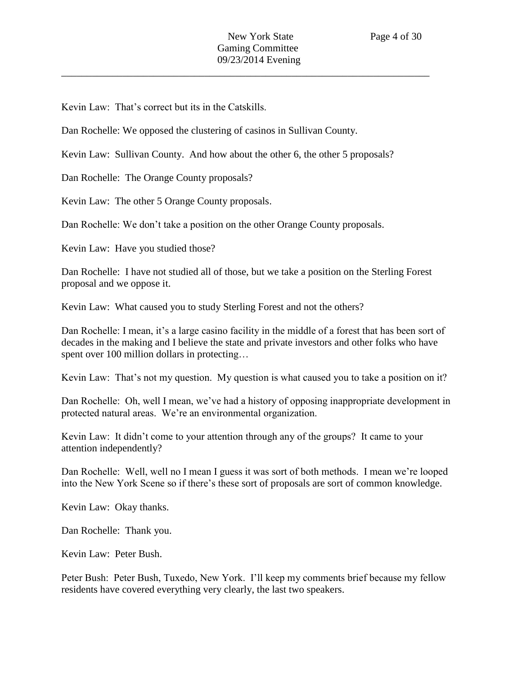Kevin Law: That's correct but its in the Catskills.

Dan Rochelle: We opposed the clustering of casinos in Sullivan County.

Kevin Law: Sullivan County. And how about the other 6, the other 5 proposals?

Dan Rochelle: The Orange County proposals?

Kevin Law: The other 5 Orange County proposals.

Dan Rochelle: We don't take a position on the other Orange County proposals.

Kevin Law: Have you studied those?

Dan Rochelle: I have not studied all of those, but we take a position on the Sterling Forest proposal and we oppose it.

Kevin Law: What caused you to study Sterling Forest and not the others?

Dan Rochelle: I mean, it's a large casino facility in the middle of a forest that has been sort of decades in the making and I believe the state and private investors and other folks who have spent over 100 million dollars in protecting...

Kevin Law: That's not my question. My question is what caused you to take a position on it?

Dan Rochelle: Oh, well I mean, we've had a history of opposing inappropriate development in protected natural areas. We're an environmental organization.

Kevin Law: It didn't come to your attention through any of the groups? It came to your attention independently?

Dan Rochelle: Well, well no I mean I guess it was sort of both methods. I mean we're looped into the New York Scene so if there's these sort of proposals are sort of common knowledge.

Kevin Law: Okay thanks.

Dan Rochelle: Thank you.

Kevin Law: Peter Bush.

Peter Bush: Peter Bush, Tuxedo, New York. I'll keep my comments brief because my fellow residents have covered everything very clearly, the last two speakers.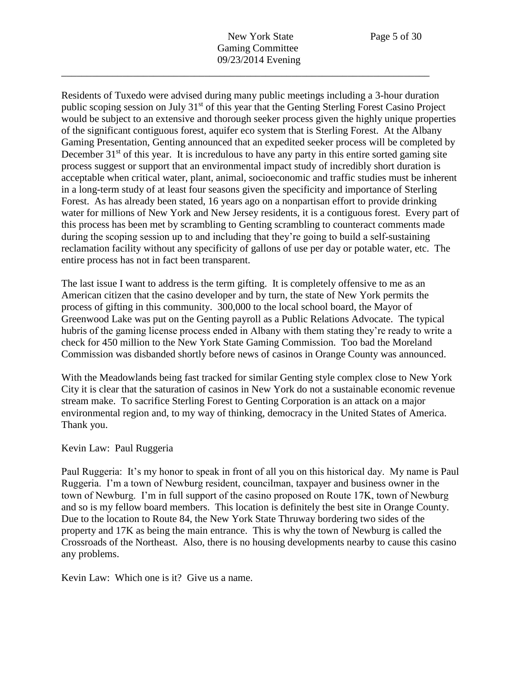Residents of Tuxedo were advised during many public meetings including a 3-hour duration public scoping session on July 31<sup>st</sup> of this year that the Genting Sterling Forest Casino Project would be subject to an extensive and thorough seeker process given the highly unique properties of the significant contiguous forest, aquifer eco system that is Sterling Forest. At the Albany Gaming Presentation, Genting announced that an expedited seeker process will be completed by December  $31<sup>st</sup>$  of this year. It is incredulous to have any party in this entire sorted gaming site process suggest or support that an environmental impact study of incredibly short duration is acceptable when critical water, plant, animal, socioeconomic and traffic studies must be inherent in a long-term study of at least four seasons given the specificity and importance of Sterling Forest. As has already been stated, 16 years ago on a nonpartisan effort to provide drinking water for millions of New York and New Jersey residents, it is a contiguous forest. Every part of this process has been met by scrambling to Genting scrambling to counteract comments made during the scoping session up to and including that they're going to build a self-sustaining reclamation facility without any specificity of gallons of use per day or potable water, etc. The entire process has not in fact been transparent.

The last issue I want to address is the term gifting. It is completely offensive to me as an American citizen that the casino developer and by turn, the state of New York permits the process of gifting in this community. 300,000 to the local school board, the Mayor of Greenwood Lake was put on the Genting payroll as a Public Relations Advocate. The typical hubris of the gaming license process ended in Albany with them stating they're ready to write a check for 450 million to the New York State Gaming Commission. Too bad the Moreland Commission was disbanded shortly before news of casinos in Orange County was announced.

With the Meadowlands being fast tracked for similar Genting style complex close to New York City it is clear that the saturation of casinos in New York do not a sustainable economic revenue stream make. To sacrifice Sterling Forest to Genting Corporation is an attack on a major environmental region and, to my way of thinking, democracy in the United States of America. Thank you.

## Kevin Law: Paul Ruggeria

Paul Ruggeria: It's my honor to speak in front of all you on this historical day. My name is Paul Ruggeria. I'm a town of Newburg resident, councilman, taxpayer and business owner in the town of Newburg. I'm in full support of the casino proposed on Route 17K, town of Newburg and so is my fellow board members. This location is definitely the best site in Orange County. Due to the location to Route 84, the New York State Thruway bordering two sides of the property and 17K as being the main entrance. This is why the town of Newburg is called the Crossroads of the Northeast. Also, there is no housing developments nearby to cause this casino any problems.

Kevin Law: Which one is it? Give us a name.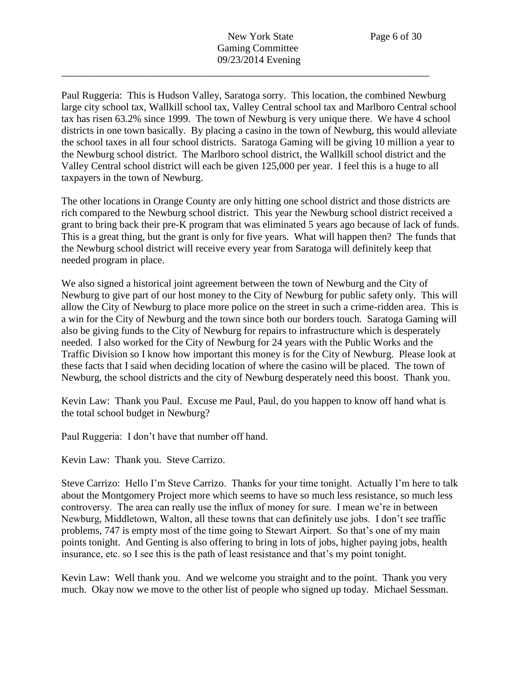Paul Ruggeria: This is Hudson Valley, Saratoga sorry. This location, the combined Newburg large city school tax, Wallkill school tax, Valley Central school tax and Marlboro Central school tax has risen 63.2% since 1999. The town of Newburg is very unique there. We have 4 school districts in one town basically. By placing a casino in the town of Newburg, this would alleviate the school taxes in all four school districts. Saratoga Gaming will be giving 10 million a year to the Newburg school district. The Marlboro school district, the Wallkill school district and the Valley Central school district will each be given 125,000 per year. I feel this is a huge to all taxpayers in the town of Newburg.

The other locations in Orange County are only hitting one school district and those districts are rich compared to the Newburg school district. This year the Newburg school district received a grant to bring back their pre-K program that was eliminated 5 years ago because of lack of funds. This is a great thing, but the grant is only for five years. What will happen then? The funds that the Newburg school district will receive every year from Saratoga will definitely keep that needed program in place.

We also signed a historical joint agreement between the town of Newburg and the City of Newburg to give part of our host money to the City of Newburg for public safety only. This will allow the City of Newburg to place more police on the street in such a crime-ridden area. This is a win for the City of Newburg and the town since both our borders touch. Saratoga Gaming will also be giving funds to the City of Newburg for repairs to infrastructure which is desperately needed. I also worked for the City of Newburg for 24 years with the Public Works and the Traffic Division so I know how important this money is for the City of Newburg. Please look at these facts that I said when deciding location of where the casino will be placed. The town of Newburg, the school districts and the city of Newburg desperately need this boost. Thank you.

Kevin Law: Thank you Paul. Excuse me Paul, Paul, do you happen to know off hand what is the total school budget in Newburg?

Paul Ruggeria: I don't have that number off hand.

Kevin Law: Thank you. Steve Carrizo.

Steve Carrizo: Hello I'm Steve Carrizo. Thanks for your time tonight. Actually I'm here to talk about the Montgomery Project more which seems to have so much less resistance, so much less controversy. The area can really use the influx of money for sure. I mean we're in between Newburg, Middletown, Walton, all these towns that can definitely use jobs. I don't see traffic problems, 747 is empty most of the time going to Stewart Airport. So that's one of my main points tonight. And Genting is also offering to bring in lots of jobs, higher paying jobs, health insurance, etc. so I see this is the path of least resistance and that's my point tonight.

Kevin Law: Well thank you. And we welcome you straight and to the point. Thank you very much. Okay now we move to the other list of people who signed up today. Michael Sessman.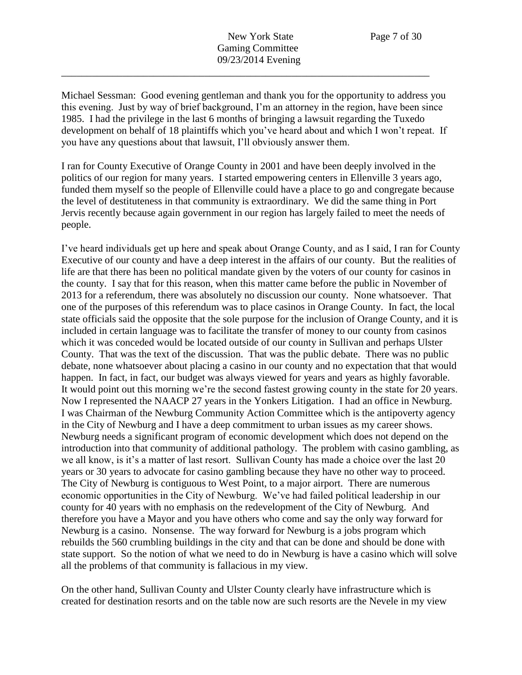Michael Sessman: Good evening gentleman and thank you for the opportunity to address you this evening. Just by way of brief background, I'm an attorney in the region, have been since 1985. I had the privilege in the last 6 months of bringing a lawsuit regarding the Tuxedo development on behalf of 18 plaintiffs which you've heard about and which I won't repeat. If you have any questions about that lawsuit, I'll obviously answer them.

I ran for County Executive of Orange County in 2001 and have been deeply involved in the politics of our region for many years. I started empowering centers in Ellenville 3 years ago, funded them myself so the people of Ellenville could have a place to go and congregate because the level of destituteness in that community is extraordinary. We did the same thing in Port Jervis recently because again government in our region has largely failed to meet the needs of people.

I've heard individuals get up here and speak about Orange County, and as I said, I ran for County Executive of our county and have a deep interest in the affairs of our county. But the realities of life are that there has been no political mandate given by the voters of our county for casinos in the county. I say that for this reason, when this matter came before the public in November of 2013 for a referendum, there was absolutely no discussion our county. None whatsoever. That one of the purposes of this referendum was to place casinos in Orange County. In fact, the local state officials said the opposite that the sole purpose for the inclusion of Orange County, and it is included in certain language was to facilitate the transfer of money to our county from casinos which it was conceded would be located outside of our county in Sullivan and perhaps Ulster County. That was the text of the discussion. That was the public debate. There was no public debate, none whatsoever about placing a casino in our county and no expectation that that would happen. In fact, in fact, our budget was always viewed for years and years as highly favorable. It would point out this morning we're the second fastest growing county in the state for 20 years. Now I represented the NAACP 27 years in the Yonkers Litigation. I had an office in Newburg. I was Chairman of the Newburg Community Action Committee which is the antipoverty agency in the City of Newburg and I have a deep commitment to urban issues as my career shows. Newburg needs a significant program of economic development which does not depend on the introduction into that community of additional pathology. The problem with casino gambling, as we all know, is it's a matter of last resort. Sullivan County has made a choice over the last 20 years or 30 years to advocate for casino gambling because they have no other way to proceed. The City of Newburg is contiguous to West Point, to a major airport. There are numerous economic opportunities in the City of Newburg. We've had failed political leadership in our county for 40 years with no emphasis on the redevelopment of the City of Newburg. And therefore you have a Mayor and you have others who come and say the only way forward for Newburg is a casino. Nonsense. The way forward for Newburg is a jobs program which rebuilds the 560 crumbling buildings in the city and that can be done and should be done with state support. So the notion of what we need to do in Newburg is have a casino which will solve all the problems of that community is fallacious in my view.

On the other hand, Sullivan County and Ulster County clearly have infrastructure which is created for destination resorts and on the table now are such resorts are the Nevele in my view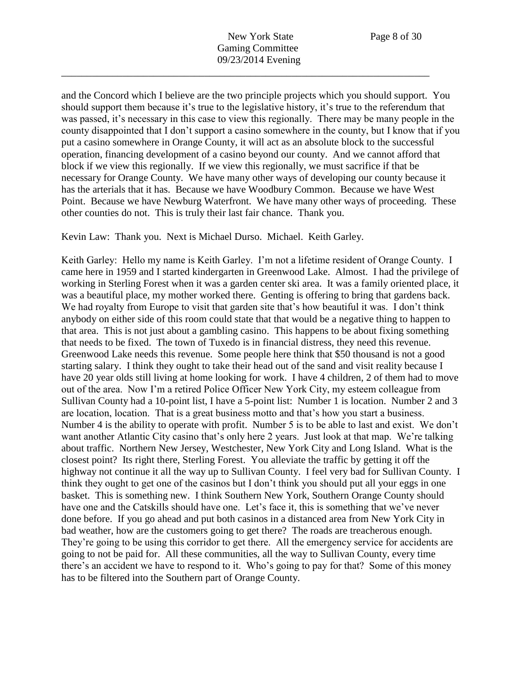and the Concord which I believe are the two principle projects which you should support. You should support them because it's true to the legislative history, it's true to the referendum that was passed, it's necessary in this case to view this regionally. There may be many people in the county disappointed that I don't support a casino somewhere in the county, but I know that if you put a casino somewhere in Orange County, it will act as an absolute block to the successful operation, financing development of a casino beyond our county. And we cannot afford that block if we view this regionally. If we view this regionally, we must sacrifice if that be necessary for Orange County. We have many other ways of developing our county because it has the arterials that it has. Because we have Woodbury Common. Because we have West Point. Because we have Newburg Waterfront. We have many other ways of proceeding. These other counties do not. This is truly their last fair chance. Thank you.

Kevin Law: Thank you. Next is Michael Durso. Michael. Keith Garley.

Keith Garley: Hello my name is Keith Garley. I'm not a lifetime resident of Orange County. I came here in 1959 and I started kindergarten in Greenwood Lake. Almost. I had the privilege of working in Sterling Forest when it was a garden center ski area. It was a family oriented place, it was a beautiful place, my mother worked there. Genting is offering to bring that gardens back. We had royalty from Europe to visit that garden site that's how beautiful it was. I don't think anybody on either side of this room could state that that would be a negative thing to happen to that area. This is not just about a gambling casino. This happens to be about fixing something that needs to be fixed. The town of Tuxedo is in financial distress, they need this revenue. Greenwood Lake needs this revenue. Some people here think that \$50 thousand is not a good starting salary. I think they ought to take their head out of the sand and visit reality because I have 20 year olds still living at home looking for work. I have 4 children, 2 of them had to move out of the area. Now I'm a retired Police Officer New York City, my esteem colleague from Sullivan County had a 10-point list, I have a 5-point list: Number 1 is location. Number 2 and 3 are location, location. That is a great business motto and that's how you start a business. Number 4 is the ability to operate with profit. Number 5 is to be able to last and exist. We don't want another Atlantic City casino that's only here 2 years. Just look at that map. We're talking about traffic. Northern New Jersey, Westchester, New York City and Long Island. What is the closest point? Its right there, Sterling Forest. You alleviate the traffic by getting it off the highway not continue it all the way up to Sullivan County. I feel very bad for Sullivan County. I think they ought to get one of the casinos but I don't think you should put all your eggs in one basket. This is something new. I think Southern New York, Southern Orange County should have one and the Catskills should have one. Let's face it, this is something that we've never done before. If you go ahead and put both casinos in a distanced area from New York City in bad weather, how are the customers going to get there? The roads are treacherous enough. They're going to be using this corridor to get there. All the emergency service for accidents are going to not be paid for. All these communities, all the way to Sullivan County, every time there's an accident we have to respond to it. Who's going to pay for that? Some of this money has to be filtered into the Southern part of Orange County.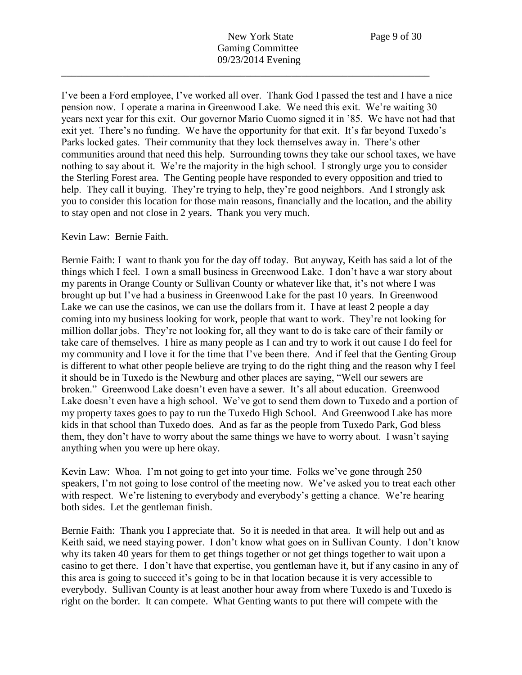I've been a Ford employee, I've worked all over. Thank God I passed the test and I have a nice pension now. I operate a marina in Greenwood Lake. We need this exit. We're waiting 30 years next year for this exit. Our governor Mario Cuomo signed it in '85. We have not had that exit yet. There's no funding. We have the opportunity for that exit. It's far beyond Tuxedo's Parks locked gates. Their community that they lock themselves away in. There's other communities around that need this help. Surrounding towns they take our school taxes, we have nothing to say about it. We're the majority in the high school. I strongly urge you to consider the Sterling Forest area. The Genting people have responded to every opposition and tried to help. They call it buying. They're trying to help, they're good neighbors. And I strongly ask you to consider this location for those main reasons, financially and the location, and the ability to stay open and not close in 2 years. Thank you very much.

Kevin Law: Bernie Faith.

Bernie Faith: I want to thank you for the day off today. But anyway, Keith has said a lot of the things which I feel. I own a small business in Greenwood Lake. I don't have a war story about my parents in Orange County or Sullivan County or whatever like that, it's not where I was brought up but I've had a business in Greenwood Lake for the past 10 years. In Greenwood Lake we can use the casinos, we can use the dollars from it. I have at least 2 people a day coming into my business looking for work, people that want to work. They're not looking for million dollar jobs. They're not looking for, all they want to do is take care of their family or take care of themselves. I hire as many people as I can and try to work it out cause I do feel for my community and I love it for the time that I've been there. And if feel that the Genting Group is different to what other people believe are trying to do the right thing and the reason why I feel it should be in Tuxedo is the Newburg and other places are saying, "Well our sewers are broken." Greenwood Lake doesn't even have a sewer. It's all about education. Greenwood Lake doesn't even have a high school. We've got to send them down to Tuxedo and a portion of my property taxes goes to pay to run the Tuxedo High School. And Greenwood Lake has more kids in that school than Tuxedo does. And as far as the people from Tuxedo Park, God bless them, they don't have to worry about the same things we have to worry about. I wasn't saying anything when you were up here okay.

Kevin Law: Whoa. I'm not going to get into your time. Folks we've gone through 250 speakers, I'm not going to lose control of the meeting now. We've asked you to treat each other with respect. We're listening to everybody and everybody's getting a chance. We're hearing both sides. Let the gentleman finish.

Bernie Faith: Thank you I appreciate that. So it is needed in that area. It will help out and as Keith said, we need staying power. I don't know what goes on in Sullivan County. I don't know why its taken 40 years for them to get things together or not get things together to wait upon a casino to get there. I don't have that expertise, you gentleman have it, but if any casino in any of this area is going to succeed it's going to be in that location because it is very accessible to everybody. Sullivan County is at least another hour away from where Tuxedo is and Tuxedo is right on the border. It can compete. What Genting wants to put there will compete with the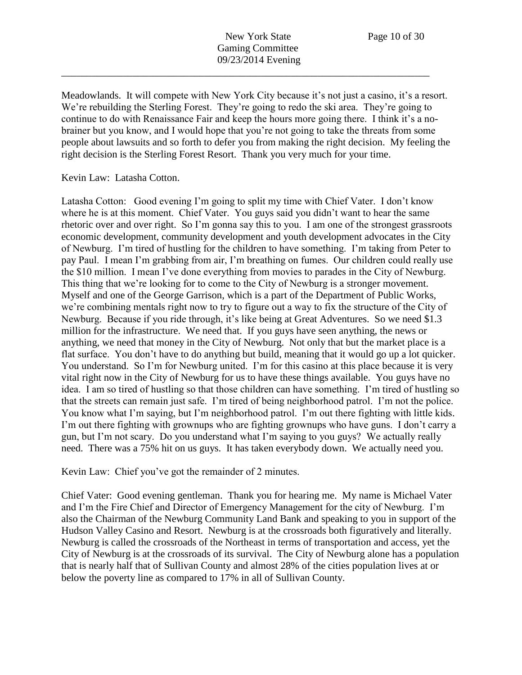Meadowlands. It will compete with New York City because it's not just a casino, it's a resort. We're rebuilding the Sterling Forest. They're going to redo the ski area. They're going to continue to do with Renaissance Fair and keep the hours more going there. I think it's a nobrainer but you know, and I would hope that you're not going to take the threats from some people about lawsuits and so forth to defer you from making the right decision. My feeling the right decision is the Sterling Forest Resort. Thank you very much for your time.

## Kevin Law: Latasha Cotton.

Latasha Cotton: Good evening I'm going to split my time with Chief Vater. I don't know where he is at this moment. Chief Vater. You guys said you didn't want to hear the same rhetoric over and over right. So I'm gonna say this to you. I am one of the strongest grassroots economic development, community development and youth development advocates in the City of Newburg. I'm tired of hustling for the children to have something. I'm taking from Peter to pay Paul. I mean I'm grabbing from air, I'm breathing on fumes. Our children could really use the \$10 million. I mean I've done everything from movies to parades in the City of Newburg. This thing that we're looking for to come to the City of Newburg is a stronger movement. Myself and one of the George Garrison, which is a part of the Department of Public Works, we're combining mentals right now to try to figure out a way to fix the structure of the City of Newburg. Because if you ride through, it's like being at Great Adventures. So we need \$1.3 million for the infrastructure. We need that. If you guys have seen anything, the news or anything, we need that money in the City of Newburg. Not only that but the market place is a flat surface. You don't have to do anything but build, meaning that it would go up a lot quicker. You understand. So I'm for Newburg united. I'm for this casino at this place because it is very vital right now in the City of Newburg for us to have these things available. You guys have no idea. I am so tired of hustling so that those children can have something. I'm tired of hustling so that the streets can remain just safe. I'm tired of being neighborhood patrol. I'm not the police. You know what I'm saying, but I'm neighborhood patrol. I'm out there fighting with little kids. I'm out there fighting with grownups who are fighting grownups who have guns. I don't carry a gun, but I'm not scary. Do you understand what I'm saying to you guys? We actually really need. There was a 75% hit on us guys. It has taken everybody down. We actually need you.

Kevin Law: Chief you've got the remainder of 2 minutes.

Chief Vater: Good evening gentleman. Thank you for hearing me. My name is Michael Vater and I'm the Fire Chief and Director of Emergency Management for the city of Newburg. I'm also the Chairman of the Newburg Community Land Bank and speaking to you in support of the Hudson Valley Casino and Resort. Newburg is at the crossroads both figuratively and literally. Newburg is called the crossroads of the Northeast in terms of transportation and access, yet the City of Newburg is at the crossroads of its survival. The City of Newburg alone has a population that is nearly half that of Sullivan County and almost 28% of the cities population lives at or below the poverty line as compared to 17% in all of Sullivan County.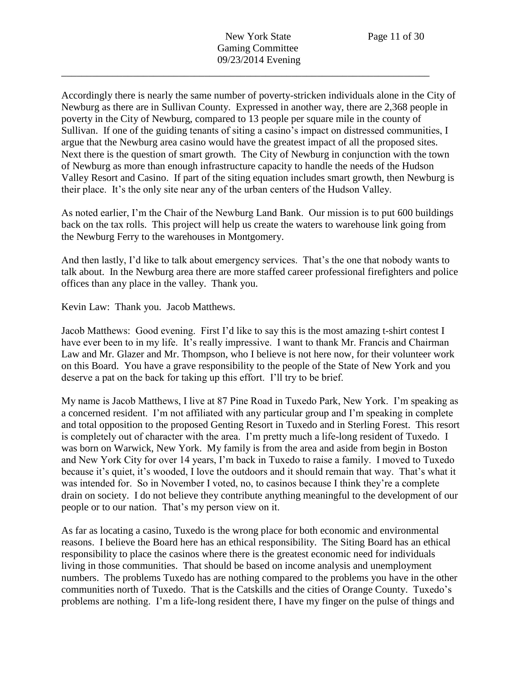Accordingly there is nearly the same number of poverty-stricken individuals alone in the City of Newburg as there are in Sullivan County. Expressed in another way, there are 2,368 people in poverty in the City of Newburg, compared to 13 people per square mile in the county of Sullivan. If one of the guiding tenants of siting a casino's impact on distressed communities, I argue that the Newburg area casino would have the greatest impact of all the proposed sites. Next there is the question of smart growth. The City of Newburg in conjunction with the town of Newburg as more than enough infrastructure capacity to handle the needs of the Hudson Valley Resort and Casino. If part of the siting equation includes smart growth, then Newburg is their place. It's the only site near any of the urban centers of the Hudson Valley.

As noted earlier, I'm the Chair of the Newburg Land Bank. Our mission is to put 600 buildings back on the tax rolls. This project will help us create the waters to warehouse link going from the Newburg Ferry to the warehouses in Montgomery.

And then lastly, I'd like to talk about emergency services. That's the one that nobody wants to talk about. In the Newburg area there are more staffed career professional firefighters and police offices than any place in the valley. Thank you.

Kevin Law: Thank you. Jacob Matthews.

Jacob Matthews: Good evening. First I'd like to say this is the most amazing t-shirt contest I have ever been to in my life. It's really impressive. I want to thank Mr. Francis and Chairman Law and Mr. Glazer and Mr. Thompson, who I believe is not here now, for their volunteer work on this Board. You have a grave responsibility to the people of the State of New York and you deserve a pat on the back for taking up this effort. I'll try to be brief.

My name is Jacob Matthews, I live at 87 Pine Road in Tuxedo Park, New York. I'm speaking as a concerned resident. I'm not affiliated with any particular group and I'm speaking in complete and total opposition to the proposed Genting Resort in Tuxedo and in Sterling Forest. This resort is completely out of character with the area. I'm pretty much a life-long resident of Tuxedo. I was born on Warwick, New York. My family is from the area and aside from begin in Boston and New York City for over 14 years, I'm back in Tuxedo to raise a family. I moved to Tuxedo because it's quiet, it's wooded, I love the outdoors and it should remain that way. That's what it was intended for. So in November I voted, no, to casinos because I think they're a complete drain on society. I do not believe they contribute anything meaningful to the development of our people or to our nation. That's my person view on it.

As far as locating a casino, Tuxedo is the wrong place for both economic and environmental reasons. I believe the Board here has an ethical responsibility. The Siting Board has an ethical responsibility to place the casinos where there is the greatest economic need for individuals living in those communities. That should be based on income analysis and unemployment numbers. The problems Tuxedo has are nothing compared to the problems you have in the other communities north of Tuxedo. That is the Catskills and the cities of Orange County. Tuxedo's problems are nothing. I'm a life-long resident there, I have my finger on the pulse of things and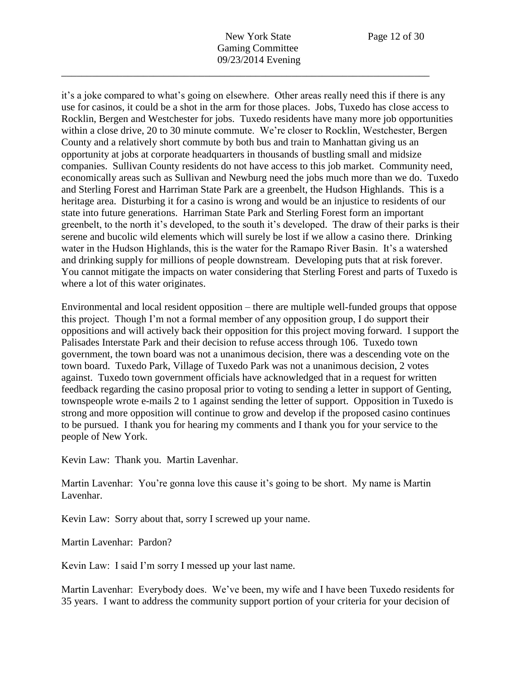New York State Page 12 of 30 Gaming Committee 09/23/2014 Evening

\_\_\_\_\_\_\_\_\_\_\_\_\_\_\_\_\_\_\_\_\_\_\_\_\_\_\_\_\_\_\_\_\_\_\_\_\_\_\_\_\_\_\_\_\_\_\_\_\_\_\_\_\_\_\_\_\_\_\_\_\_\_\_\_\_\_\_\_\_\_\_\_

it's a joke compared to what's going on elsewhere. Other areas really need this if there is any use for casinos, it could be a shot in the arm for those places. Jobs, Tuxedo has close access to Rocklin, Bergen and Westchester for jobs. Tuxedo residents have many more job opportunities within a close drive, 20 to 30 minute commute. We're closer to Rocklin, Westchester, Bergen County and a relatively short commute by both bus and train to Manhattan giving us an opportunity at jobs at corporate headquarters in thousands of bustling small and midsize companies. Sullivan County residents do not have access to this job market. Community need, economically areas such as Sullivan and Newburg need the jobs much more than we do. Tuxedo and Sterling Forest and Harriman State Park are a greenbelt, the Hudson Highlands. This is a heritage area. Disturbing it for a casino is wrong and would be an injustice to residents of our state into future generations. Harriman State Park and Sterling Forest form an important greenbelt, to the north it's developed, to the south it's developed. The draw of their parks is their serene and bucolic wild elements which will surely be lost if we allow a casino there. Drinking water in the Hudson Highlands, this is the water for the Ramapo River Basin. It's a watershed and drinking supply for millions of people downstream. Developing puts that at risk forever. You cannot mitigate the impacts on water considering that Sterling Forest and parts of Tuxedo is where a lot of this water originates.

Environmental and local resident opposition – there are multiple well-funded groups that oppose this project. Though I'm not a formal member of any opposition group, I do support their oppositions and will actively back their opposition for this project moving forward. I support the Palisades Interstate Park and their decision to refuse access through 106. Tuxedo town government, the town board was not a unanimous decision, there was a descending vote on the town board. Tuxedo Park, Village of Tuxedo Park was not a unanimous decision, 2 votes against. Tuxedo town government officials have acknowledged that in a request for written feedback regarding the casino proposal prior to voting to sending a letter in support of Genting, townspeople wrote e-mails 2 to 1 against sending the letter of support. Opposition in Tuxedo is strong and more opposition will continue to grow and develop if the proposed casino continues to be pursued. I thank you for hearing my comments and I thank you for your service to the people of New York.

Kevin Law: Thank you. Martin Lavenhar.

Martin Lavenhar: You're gonna love this cause it's going to be short. My name is Martin Lavenhar.

Kevin Law: Sorry about that, sorry I screwed up your name.

Martin Lavenhar: Pardon?

Kevin Law: I said I'm sorry I messed up your last name.

Martin Lavenhar: Everybody does. We've been, my wife and I have been Tuxedo residents for 35 years. I want to address the community support portion of your criteria for your decision of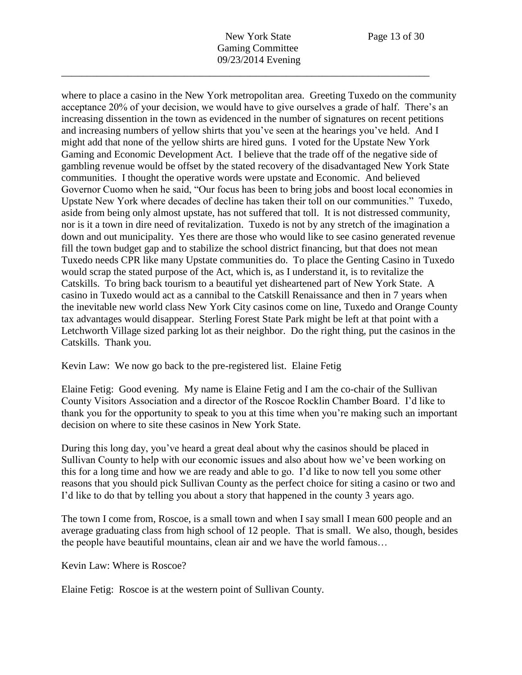where to place a casino in the New York metropolitan area. Greeting Tuxedo on the community acceptance 20% of your decision, we would have to give ourselves a grade of half. There's an increasing dissention in the town as evidenced in the number of signatures on recent petitions and increasing numbers of yellow shirts that you've seen at the hearings you've held. And I might add that none of the yellow shirts are hired guns. I voted for the Upstate New York Gaming and Economic Development Act. I believe that the trade off of the negative side of gambling revenue would be offset by the stated recovery of the disadvantaged New York State communities. I thought the operative words were upstate and Economic. And believed Governor Cuomo when he said, "Our focus has been to bring jobs and boost local economies in Upstate New York where decades of decline has taken their toll on our communities." Tuxedo, aside from being only almost upstate, has not suffered that toll. It is not distressed community, nor is it a town in dire need of revitalization. Tuxedo is not by any stretch of the imagination a down and out municipality. Yes there are those who would like to see casino generated revenue fill the town budget gap and to stabilize the school district financing, but that does not mean Tuxedo needs CPR like many Upstate communities do. To place the Genting Casino in Tuxedo would scrap the stated purpose of the Act, which is, as I understand it, is to revitalize the Catskills. To bring back tourism to a beautiful yet disheartened part of New York State. A casino in Tuxedo would act as a cannibal to the Catskill Renaissance and then in 7 years when the inevitable new world class New York City casinos come on line, Tuxedo and Orange County tax advantages would disappear. Sterling Forest State Park might be left at that point with a Letchworth Village sized parking lot as their neighbor. Do the right thing, put the casinos in the Catskills. Thank you.

Kevin Law: We now go back to the pre-registered list. Elaine Fetig

Elaine Fetig: Good evening. My name is Elaine Fetig and I am the co-chair of the Sullivan County Visitors Association and a director of the Roscoe Rocklin Chamber Board. I'd like to thank you for the opportunity to speak to you at this time when you're making such an important decision on where to site these casinos in New York State.

During this long day, you've heard a great deal about why the casinos should be placed in Sullivan County to help with our economic issues and also about how we've been working on this for a long time and how we are ready and able to go. I'd like to now tell you some other reasons that you should pick Sullivan County as the perfect choice for siting a casino or two and I'd like to do that by telling you about a story that happened in the county 3 years ago.

The town I come from, Roscoe, is a small town and when I say small I mean 600 people and an average graduating class from high school of 12 people. That is small. We also, though, besides the people have beautiful mountains, clean air and we have the world famous…

Kevin Law: Where is Roscoe?

Elaine Fetig: Roscoe is at the western point of Sullivan County.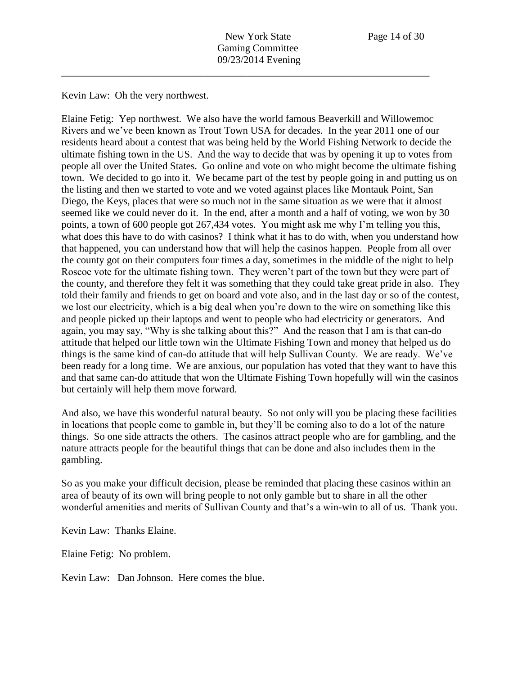Kevin Law: Oh the very northwest.

Elaine Fetig: Yep northwest. We also have the world famous Beaverkill and Willowemoc Rivers and we've been known as Trout Town USA for decades. In the year 2011 one of our residents heard about a contest that was being held by the World Fishing Network to decide the ultimate fishing town in the US. And the way to decide that was by opening it up to votes from people all over the United States. Go online and vote on who might become the ultimate fishing town. We decided to go into it. We became part of the test by people going in and putting us on the listing and then we started to vote and we voted against places like Montauk Point, San Diego, the Keys, places that were so much not in the same situation as we were that it almost seemed like we could never do it. In the end, after a month and a half of voting, we won by 30 points, a town of 600 people got 267,434 votes. You might ask me why I'm telling you this, what does this have to do with casinos? I think what it has to do with, when you understand how that happened, you can understand how that will help the casinos happen. People from all over the county got on their computers four times a day, sometimes in the middle of the night to help Roscoe vote for the ultimate fishing town. They weren't part of the town but they were part of the county, and therefore they felt it was something that they could take great pride in also. They told their family and friends to get on board and vote also, and in the last day or so of the contest, we lost our electricity, which is a big deal when you're down to the wire on something like this and people picked up their laptops and went to people who had electricity or generators. And again, you may say, "Why is she talking about this?" And the reason that I am is that can-do attitude that helped our little town win the Ultimate Fishing Town and money that helped us do things is the same kind of can-do attitude that will help Sullivan County. We are ready. We've been ready for a long time. We are anxious, our population has voted that they want to have this and that same can-do attitude that won the Ultimate Fishing Town hopefully will win the casinos but certainly will help them move forward.

And also, we have this wonderful natural beauty. So not only will you be placing these facilities in locations that people come to gamble in, but they'll be coming also to do a lot of the nature things. So one side attracts the others. The casinos attract people who are for gambling, and the nature attracts people for the beautiful things that can be done and also includes them in the gambling.

So as you make your difficult decision, please be reminded that placing these casinos within an area of beauty of its own will bring people to not only gamble but to share in all the other wonderful amenities and merits of Sullivan County and that's a win-win to all of us. Thank you.

Kevin Law: Thanks Elaine.

Elaine Fetig: No problem.

Kevin Law: Dan Johnson. Here comes the blue.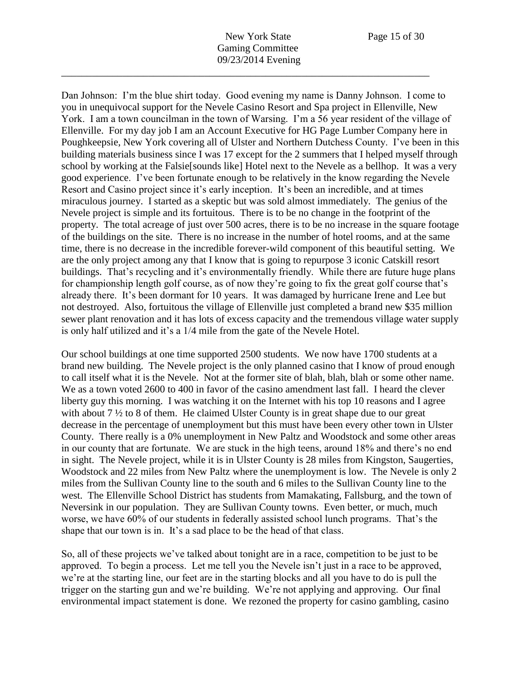Dan Johnson: I'm the blue shirt today. Good evening my name is Danny Johnson. I come to you in unequivocal support for the Nevele Casino Resort and Spa project in Ellenville, New York. I am a town councilman in the town of Warsing. I'm a 56 year resident of the village of Ellenville. For my day job I am an Account Executive for HG Page Lumber Company here in Poughkeepsie, New York covering all of Ulster and Northern Dutchess County. I've been in this building materials business since I was 17 except for the 2 summers that I helped myself through school by working at the Falsie[sounds like] Hotel next to the Nevele as a bellhop. It was a very good experience. I've been fortunate enough to be relatively in the know regarding the Nevele Resort and Casino project since it's early inception. It's been an incredible, and at times miraculous journey. I started as a skeptic but was sold almost immediately. The genius of the Nevele project is simple and its fortuitous. There is to be no change in the footprint of the property. The total acreage of just over 500 acres, there is to be no increase in the square footage of the buildings on the site. There is no increase in the number of hotel rooms, and at the same time, there is no decrease in the incredible forever-wild component of this beautiful setting. We are the only project among any that I know that is going to repurpose 3 iconic Catskill resort buildings. That's recycling and it's environmentally friendly. While there are future huge plans for championship length golf course, as of now they're going to fix the great golf course that's already there. It's been dormant for 10 years. It was damaged by hurricane Irene and Lee but not destroyed. Also, fortuitous the village of Ellenville just completed a brand new \$35 million sewer plant renovation and it has lots of excess capacity and the tremendous village water supply is only half utilized and it's a 1/4 mile from the gate of the Nevele Hotel.

Our school buildings at one time supported 2500 students. We now have 1700 students at a brand new building. The Nevele project is the only planned casino that I know of proud enough to call itself what it is the Nevele. Not at the former site of blah, blah, blah or some other name. We as a town voted 2600 to 400 in favor of the casino amendment last fall. I heard the clever liberty guy this morning. I was watching it on the Internet with his top 10 reasons and I agree with about 7 <sup>1</sup>/<sub>2</sub> to 8 of them. He claimed Ulster County is in great shape due to our great decrease in the percentage of unemployment but this must have been every other town in Ulster County. There really is a 0% unemployment in New Paltz and Woodstock and some other areas in our county that are fortunate. We are stuck in the high teens, around 18% and there's no end in sight. The Nevele project, while it is in Ulster County is 28 miles from Kingston, Saugerties, Woodstock and 22 miles from New Paltz where the unemployment is low. The Nevele is only 2 miles from the Sullivan County line to the south and 6 miles to the Sullivan County line to the west. The Ellenville School District has students from Mamakating, Fallsburg, and the town of Neversink in our population. They are Sullivan County towns. Even better, or much, much worse, we have 60% of our students in federally assisted school lunch programs. That's the shape that our town is in. It's a sad place to be the head of that class.

So, all of these projects we've talked about tonight are in a race, competition to be just to be approved. To begin a process. Let me tell you the Nevele isn't just in a race to be approved, we're at the starting line, our feet are in the starting blocks and all you have to do is pull the trigger on the starting gun and we're building. We're not applying and approving. Our final environmental impact statement is done. We rezoned the property for casino gambling, casino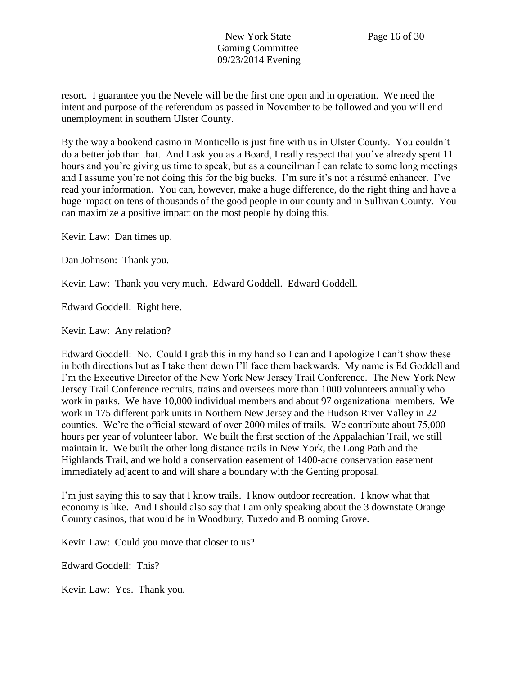resort. I guarantee you the Nevele will be the first one open and in operation. We need the intent and purpose of the referendum as passed in November to be followed and you will end unemployment in southern Ulster County.

\_\_\_\_\_\_\_\_\_\_\_\_\_\_\_\_\_\_\_\_\_\_\_\_\_\_\_\_\_\_\_\_\_\_\_\_\_\_\_\_\_\_\_\_\_\_\_\_\_\_\_\_\_\_\_\_\_\_\_\_\_\_\_\_\_\_\_\_\_\_\_\_

By the way a bookend casino in Monticello is just fine with us in Ulster County. You couldn't do a better job than that. And I ask you as a Board, I really respect that you've already spent 11 hours and you're giving us time to speak, but as a councilman I can relate to some long meetings and I assume you're not doing this for the big bucks. I'm sure it's not a résumé enhancer. I've read your information. You can, however, make a huge difference, do the right thing and have a huge impact on tens of thousands of the good people in our county and in Sullivan County. You can maximize a positive impact on the most people by doing this.

Kevin Law: Dan times up.

Dan Johnson: Thank you.

Kevin Law: Thank you very much. Edward Goddell. Edward Goddell.

Edward Goddell: Right here.

Kevin Law: Any relation?

Edward Goddell: No. Could I grab this in my hand so I can and I apologize I can't show these in both directions but as I take them down I'll face them backwards. My name is Ed Goddell and I'm the Executive Director of the New York New Jersey Trail Conference. The New York New Jersey Trail Conference recruits, trains and oversees more than 1000 volunteers annually who work in parks. We have 10,000 individual members and about 97 organizational members. We work in 175 different park units in Northern New Jersey and the Hudson River Valley in 22 counties. We're the official steward of over 2000 miles of trails. We contribute about 75,000 hours per year of volunteer labor. We built the first section of the Appalachian Trail, we still maintain it. We built the other long distance trails in New York, the Long Path and the Highlands Trail, and we hold a conservation easement of 1400-acre conservation easement immediately adjacent to and will share a boundary with the Genting proposal.

I'm just saying this to say that I know trails. I know outdoor recreation. I know what that economy is like. And I should also say that I am only speaking about the 3 downstate Orange County casinos, that would be in Woodbury, Tuxedo and Blooming Grove.

Kevin Law: Could you move that closer to us?

Edward Goddell: This?

Kevin Law: Yes. Thank you.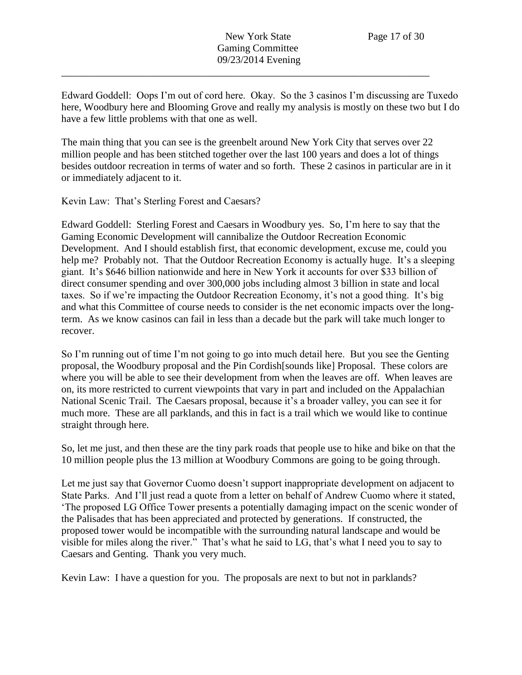Edward Goddell: Oops I'm out of cord here. Okay. So the 3 casinos I'm discussing are Tuxedo here, Woodbury here and Blooming Grove and really my analysis is mostly on these two but I do have a few little problems with that one as well.

The main thing that you can see is the greenbelt around New York City that serves over 22 million people and has been stitched together over the last 100 years and does a lot of things besides outdoor recreation in terms of water and so forth. These 2 casinos in particular are in it or immediately adjacent to it.

Kevin Law: That's Sterling Forest and Caesars?

Edward Goddell: Sterling Forest and Caesars in Woodbury yes. So, I'm here to say that the Gaming Economic Development will cannibalize the Outdoor Recreation Economic Development. And I should establish first, that economic development, excuse me, could you help me? Probably not. That the Outdoor Recreation Economy is actually huge. It's a sleeping giant. It's \$646 billion nationwide and here in New York it accounts for over \$33 billion of direct consumer spending and over 300,000 jobs including almost 3 billion in state and local taxes. So if we're impacting the Outdoor Recreation Economy, it's not a good thing. It's big and what this Committee of course needs to consider is the net economic impacts over the longterm. As we know casinos can fail in less than a decade but the park will take much longer to recover.

So I'm running out of time I'm not going to go into much detail here. But you see the Genting proposal, the Woodbury proposal and the Pin Cordish[sounds like] Proposal. These colors are where you will be able to see their development from when the leaves are off. When leaves are on, its more restricted to current viewpoints that vary in part and included on the Appalachian National Scenic Trail. The Caesars proposal, because it's a broader valley, you can see it for much more. These are all parklands, and this in fact is a trail which we would like to continue straight through here.

So, let me just, and then these are the tiny park roads that people use to hike and bike on that the 10 million people plus the 13 million at Woodbury Commons are going to be going through.

Let me just say that Governor Cuomo doesn't support inappropriate development on adjacent to State Parks. And I'll just read a quote from a letter on behalf of Andrew Cuomo where it stated, 'The proposed LG Office Tower presents a potentially damaging impact on the scenic wonder of the Palisades that has been appreciated and protected by generations. If constructed, the proposed tower would be incompatible with the surrounding natural landscape and would be visible for miles along the river." That's what he said to LG, that's what I need you to say to Caesars and Genting. Thank you very much.

Kevin Law: I have a question for you. The proposals are next to but not in parklands?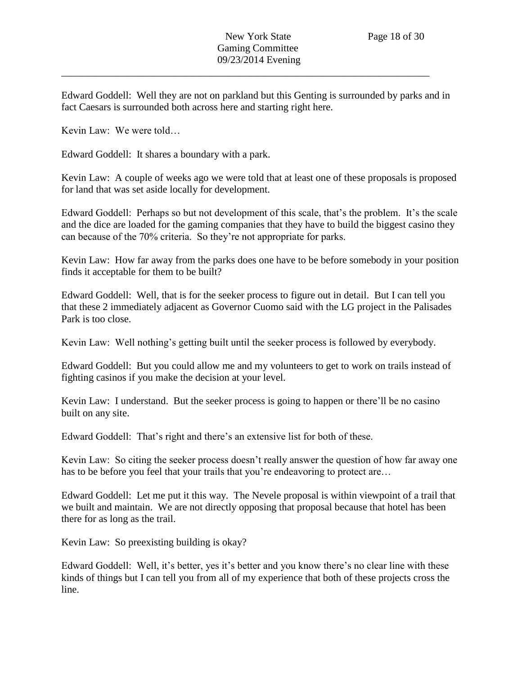Edward Goddell: Well they are not on parkland but this Genting is surrounded by parks and in fact Caesars is surrounded both across here and starting right here.

\_\_\_\_\_\_\_\_\_\_\_\_\_\_\_\_\_\_\_\_\_\_\_\_\_\_\_\_\_\_\_\_\_\_\_\_\_\_\_\_\_\_\_\_\_\_\_\_\_\_\_\_\_\_\_\_\_\_\_\_\_\_\_\_\_\_\_\_\_\_\_\_

Kevin Law: We were told…

Edward Goddell: It shares a boundary with a park.

Kevin Law: A couple of weeks ago we were told that at least one of these proposals is proposed for land that was set aside locally for development.

Edward Goddell: Perhaps so but not development of this scale, that's the problem. It's the scale and the dice are loaded for the gaming companies that they have to build the biggest casino they can because of the 70% criteria. So they're not appropriate for parks.

Kevin Law: How far away from the parks does one have to be before somebody in your position finds it acceptable for them to be built?

Edward Goddell: Well, that is for the seeker process to figure out in detail. But I can tell you that these 2 immediately adjacent as Governor Cuomo said with the LG project in the Palisades Park is too close.

Kevin Law: Well nothing's getting built until the seeker process is followed by everybody.

Edward Goddell: But you could allow me and my volunteers to get to work on trails instead of fighting casinos if you make the decision at your level.

Kevin Law: I understand. But the seeker process is going to happen or there'll be no casino built on any site.

Edward Goddell: That's right and there's an extensive list for both of these.

Kevin Law: So citing the seeker process doesn't really answer the question of how far away one has to be before you feel that your trails that you're endeavoring to protect are...

Edward Goddell: Let me put it this way. The Nevele proposal is within viewpoint of a trail that we built and maintain. We are not directly opposing that proposal because that hotel has been there for as long as the trail.

Kevin Law: So preexisting building is okay?

Edward Goddell: Well, it's better, yes it's better and you know there's no clear line with these kinds of things but I can tell you from all of my experience that both of these projects cross the line.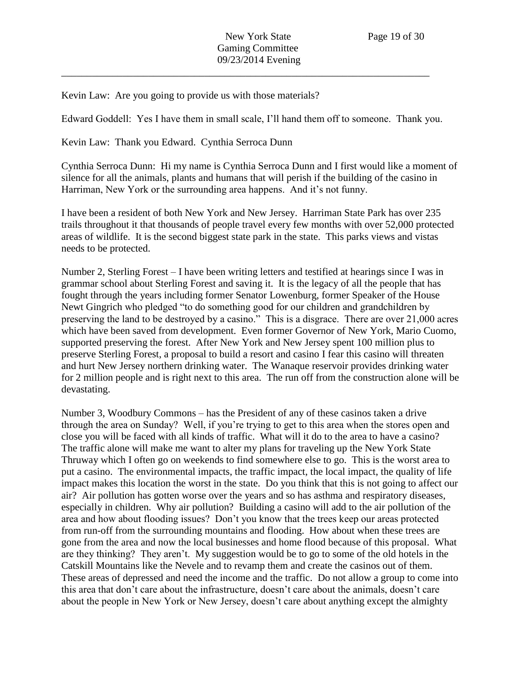Kevin Law: Are you going to provide us with those materials?

Edward Goddell: Yes I have them in small scale, I'll hand them off to someone. Thank you.

\_\_\_\_\_\_\_\_\_\_\_\_\_\_\_\_\_\_\_\_\_\_\_\_\_\_\_\_\_\_\_\_\_\_\_\_\_\_\_\_\_\_\_\_\_\_\_\_\_\_\_\_\_\_\_\_\_\_\_\_\_\_\_\_\_\_\_\_\_\_\_\_

Kevin Law: Thank you Edward. Cynthia Serroca Dunn

Cynthia Serroca Dunn: Hi my name is Cynthia Serroca Dunn and I first would like a moment of silence for all the animals, plants and humans that will perish if the building of the casino in Harriman, New York or the surrounding area happens. And it's not funny.

I have been a resident of both New York and New Jersey. Harriman State Park has over 235 trails throughout it that thousands of people travel every few months with over 52,000 protected areas of wildlife. It is the second biggest state park in the state. This parks views and vistas needs to be protected.

Number 2, Sterling Forest – I have been writing letters and testified at hearings since I was in grammar school about Sterling Forest and saving it. It is the legacy of all the people that has fought through the years including former Senator Lowenburg, former Speaker of the House Newt Gingrich who pledged "to do something good for our children and grandchildren by preserving the land to be destroyed by a casino." This is a disgrace. There are over 21,000 acres which have been saved from development. Even former Governor of New York, Mario Cuomo, supported preserving the forest. After New York and New Jersey spent 100 million plus to preserve Sterling Forest, a proposal to build a resort and casino I fear this casino will threaten and hurt New Jersey northern drinking water. The Wanaque reservoir provides drinking water for 2 million people and is right next to this area. The run off from the construction alone will be devastating.

Number 3, Woodbury Commons – has the President of any of these casinos taken a drive through the area on Sunday? Well, if you're trying to get to this area when the stores open and close you will be faced with all kinds of traffic. What will it do to the area to have a casino? The traffic alone will make me want to alter my plans for traveling up the New York State Thruway which I often go on weekends to find somewhere else to go. This is the worst area to put a casino. The environmental impacts, the traffic impact, the local impact, the quality of life impact makes this location the worst in the state. Do you think that this is not going to affect our air? Air pollution has gotten worse over the years and so has asthma and respiratory diseases, especially in children. Why air pollution? Building a casino will add to the air pollution of the area and how about flooding issues? Don't you know that the trees keep our areas protected from run-off from the surrounding mountains and flooding. How about when these trees are gone from the area and now the local businesses and home flood because of this proposal. What are they thinking? They aren't. My suggestion would be to go to some of the old hotels in the Catskill Mountains like the Nevele and to revamp them and create the casinos out of them. These areas of depressed and need the income and the traffic. Do not allow a group to come into this area that don't care about the infrastructure, doesn't care about the animals, doesn't care about the people in New York or New Jersey, doesn't care about anything except the almighty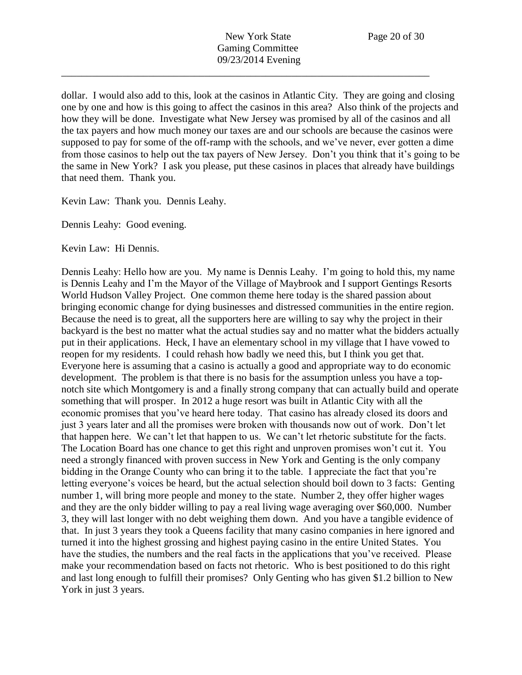dollar. I would also add to this, look at the casinos in Atlantic City. They are going and closing one by one and how is this going to affect the casinos in this area? Also think of the projects and how they will be done. Investigate what New Jersey was promised by all of the casinos and all the tax payers and how much money our taxes are and our schools are because the casinos were supposed to pay for some of the off-ramp with the schools, and we've never, ever gotten a dime from those casinos to help out the tax payers of New Jersey. Don't you think that it's going to be the same in New York? I ask you please, put these casinos in places that already have buildings that need them. Thank you.

Kevin Law: Thank you. Dennis Leahy.

Dennis Leahy: Good evening.

Kevin Law: Hi Dennis.

Dennis Leahy: Hello how are you. My name is Dennis Leahy. I'm going to hold this, my name is Dennis Leahy and I'm the Mayor of the Village of Maybrook and I support Gentings Resorts World Hudson Valley Project. One common theme here today is the shared passion about bringing economic change for dying businesses and distressed communities in the entire region. Because the need is to great, all the supporters here are willing to say why the project in their backyard is the best no matter what the actual studies say and no matter what the bidders actually put in their applications. Heck, I have an elementary school in my village that I have vowed to reopen for my residents. I could rehash how badly we need this, but I think you get that. Everyone here is assuming that a casino is actually a good and appropriate way to do economic development. The problem is that there is no basis for the assumption unless you have a topnotch site which Montgomery is and a finally strong company that can actually build and operate something that will prosper. In 2012 a huge resort was built in Atlantic City with all the economic promises that you've heard here today. That casino has already closed its doors and just 3 years later and all the promises were broken with thousands now out of work. Don't let that happen here. We can't let that happen to us. We can't let rhetoric substitute for the facts. The Location Board has one chance to get this right and unproven promises won't cut it. You need a strongly financed with proven success in New York and Genting is the only company bidding in the Orange County who can bring it to the table. I appreciate the fact that you're letting everyone's voices be heard, but the actual selection should boil down to 3 facts: Genting number 1, will bring more people and money to the state. Number 2, they offer higher wages and they are the only bidder willing to pay a real living wage averaging over \$60,000. Number 3, they will last longer with no debt weighing them down. And you have a tangible evidence of that. In just 3 years they took a Queens facility that many casino companies in here ignored and turned it into the highest grossing and highest paying casino in the entire United States. You have the studies, the numbers and the real facts in the applications that you've received. Please make your recommendation based on facts not rhetoric. Who is best positioned to do this right and last long enough to fulfill their promises? Only Genting who has given \$1.2 billion to New York in just 3 years.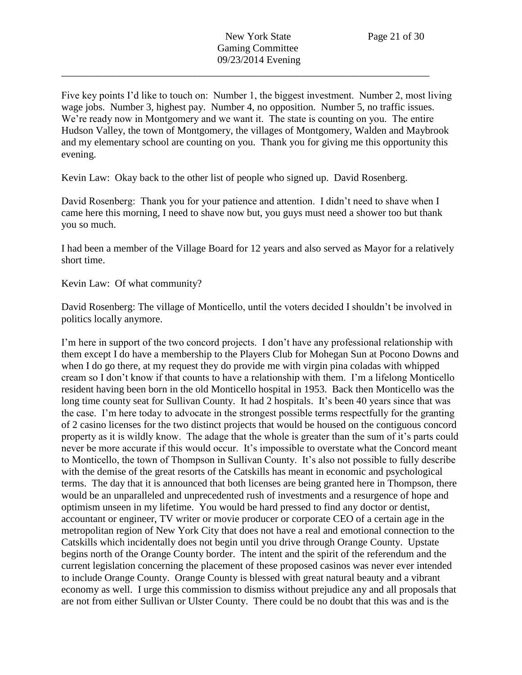Five key points I'd like to touch on: Number 1, the biggest investment. Number 2, most living wage jobs. Number 3, highest pay. Number 4, no opposition. Number 5, no traffic issues. We're ready now in Montgomery and we want it. The state is counting on you. The entire Hudson Valley, the town of Montgomery, the villages of Montgomery, Walden and Maybrook and my elementary school are counting on you. Thank you for giving me this opportunity this evening.

Kevin Law: Okay back to the other list of people who signed up. David Rosenberg.

David Rosenberg: Thank you for your patience and attention. I didn't need to shave when I came here this morning, I need to shave now but, you guys must need a shower too but thank you so much.

I had been a member of the Village Board for 12 years and also served as Mayor for a relatively short time.

Kevin Law: Of what community?

David Rosenberg: The village of Monticello, until the voters decided I shouldn't be involved in politics locally anymore.

I'm here in support of the two concord projects. I don't have any professional relationship with them except I do have a membership to the Players Club for Mohegan Sun at Pocono Downs and when I do go there, at my request they do provide me with virgin pina coladas with whipped cream so I don't know if that counts to have a relationship with them. I'm a lifelong Monticello resident having been born in the old Monticello hospital in 1953. Back then Monticello was the long time county seat for Sullivan County. It had 2 hospitals. It's been 40 years since that was the case. I'm here today to advocate in the strongest possible terms respectfully for the granting of 2 casino licenses for the two distinct projects that would be housed on the contiguous concord property as it is wildly know. The adage that the whole is greater than the sum of it's parts could never be more accurate if this would occur. It's impossible to overstate what the Concord meant to Monticello, the town of Thompson in Sullivan County. It's also not possible to fully describe with the demise of the great resorts of the Catskills has meant in economic and psychological terms. The day that it is announced that both licenses are being granted here in Thompson, there would be an unparalleled and unprecedented rush of investments and a resurgence of hope and optimism unseen in my lifetime. You would be hard pressed to find any doctor or dentist, accountant or engineer, TV writer or movie producer or corporate CEO of a certain age in the metropolitan region of New York City that does not have a real and emotional connection to the Catskills which incidentally does not begin until you drive through Orange County. Upstate begins north of the Orange County border. The intent and the spirit of the referendum and the current legislation concerning the placement of these proposed casinos was never ever intended to include Orange County. Orange County is blessed with great natural beauty and a vibrant economy as well. I urge this commission to dismiss without prejudice any and all proposals that are not from either Sullivan or Ulster County. There could be no doubt that this was and is the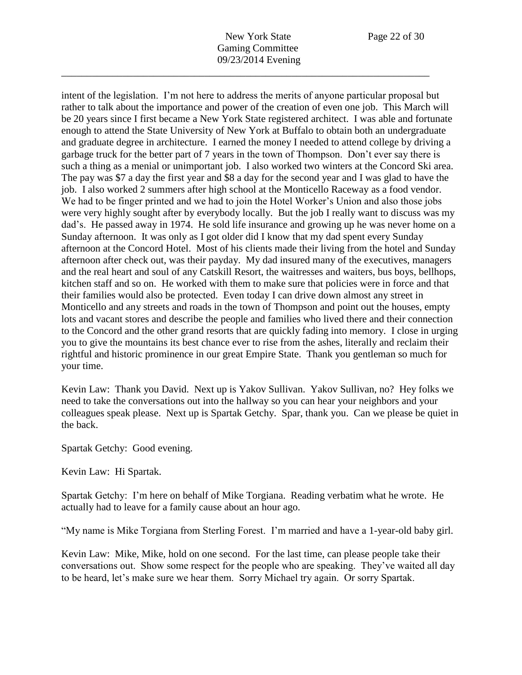intent of the legislation. I'm not here to address the merits of anyone particular proposal but rather to talk about the importance and power of the creation of even one job. This March will be 20 years since I first became a New York State registered architect. I was able and fortunate enough to attend the State University of New York at Buffalo to obtain both an undergraduate and graduate degree in architecture. I earned the money I needed to attend college by driving a garbage truck for the better part of 7 years in the town of Thompson. Don't ever say there is such a thing as a menial or unimportant job. I also worked two winters at the Concord Ski area. The pay was \$7 a day the first year and \$8 a day for the second year and I was glad to have the job. I also worked 2 summers after high school at the Monticello Raceway as a food vendor. We had to be finger printed and we had to join the Hotel Worker's Union and also those jobs were very highly sought after by everybody locally. But the job I really want to discuss was my dad's. He passed away in 1974. He sold life insurance and growing up he was never home on a Sunday afternoon. It was only as I got older did I know that my dad spent every Sunday afternoon at the Concord Hotel. Most of his clients made their living from the hotel and Sunday afternoon after check out, was their payday. My dad insured many of the executives, managers and the real heart and soul of any Catskill Resort, the waitresses and waiters, bus boys, bellhops, kitchen staff and so on. He worked with them to make sure that policies were in force and that their families would also be protected. Even today I can drive down almost any street in Monticello and any streets and roads in the town of Thompson and point out the houses, empty lots and vacant stores and describe the people and families who lived there and their connection to the Concord and the other grand resorts that are quickly fading into memory. I close in urging you to give the mountains its best chance ever to rise from the ashes, literally and reclaim their rightful and historic prominence in our great Empire State. Thank you gentleman so much for your time.

Kevin Law: Thank you David. Next up is Yakov Sullivan. Yakov Sullivan, no? Hey folks we need to take the conversations out into the hallway so you can hear your neighbors and your colleagues speak please. Next up is Spartak Getchy. Spar, thank you. Can we please be quiet in the back.

Spartak Getchy: Good evening.

Kevin Law: Hi Spartak.

Spartak Getchy: I'm here on behalf of Mike Torgiana. Reading verbatim what he wrote. He actually had to leave for a family cause about an hour ago.

"My name is Mike Torgiana from Sterling Forest. I'm married and have a 1-year-old baby girl.

Kevin Law: Mike, Mike, hold on one second. For the last time, can please people take their conversations out. Show some respect for the people who are speaking. They've waited all day to be heard, let's make sure we hear them. Sorry Michael try again. Or sorry Spartak.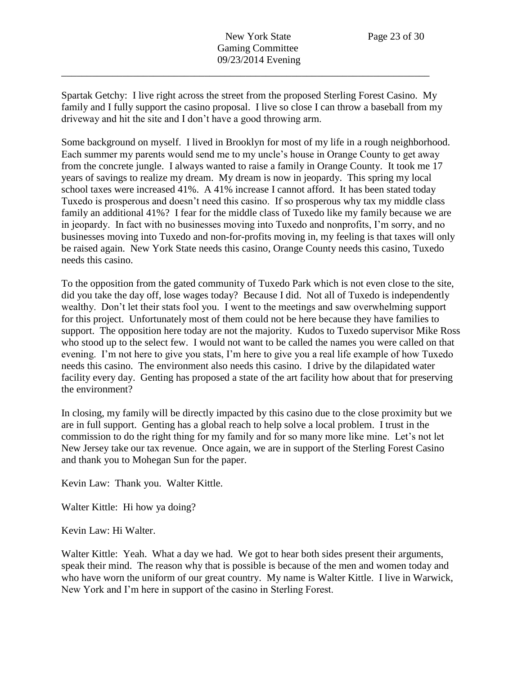Spartak Getchy: I live right across the street from the proposed Sterling Forest Casino. My family and I fully support the casino proposal. I live so close I can throw a baseball from my driveway and hit the site and I don't have a good throwing arm.

\_\_\_\_\_\_\_\_\_\_\_\_\_\_\_\_\_\_\_\_\_\_\_\_\_\_\_\_\_\_\_\_\_\_\_\_\_\_\_\_\_\_\_\_\_\_\_\_\_\_\_\_\_\_\_\_\_\_\_\_\_\_\_\_\_\_\_\_\_\_\_\_

Some background on myself. I lived in Brooklyn for most of my life in a rough neighborhood. Each summer my parents would send me to my uncle's house in Orange County to get away from the concrete jungle. I always wanted to raise a family in Orange County. It took me 17 years of savings to realize my dream. My dream is now in jeopardy. This spring my local school taxes were increased 41%. A 41% increase I cannot afford. It has been stated today Tuxedo is prosperous and doesn't need this casino. If so prosperous why tax my middle class family an additional 41%? I fear for the middle class of Tuxedo like my family because we are in jeopardy. In fact with no businesses moving into Tuxedo and nonprofits, I'm sorry, and no businesses moving into Tuxedo and non-for-profits moving in, my feeling is that taxes will only be raised again. New York State needs this casino, Orange County needs this casino, Tuxedo needs this casino.

To the opposition from the gated community of Tuxedo Park which is not even close to the site, did you take the day off, lose wages today? Because I did. Not all of Tuxedo is independently wealthy. Don't let their stats fool you. I went to the meetings and saw overwhelming support for this project. Unfortunately most of them could not be here because they have families to support. The opposition here today are not the majority. Kudos to Tuxedo supervisor Mike Ross who stood up to the select few. I would not want to be called the names you were called on that evening. I'm not here to give you stats, I'm here to give you a real life example of how Tuxedo needs this casino. The environment also needs this casino. I drive by the dilapidated water facility every day. Genting has proposed a state of the art facility how about that for preserving the environment?

In closing, my family will be directly impacted by this casino due to the close proximity but we are in full support. Genting has a global reach to help solve a local problem. I trust in the commission to do the right thing for my family and for so many more like mine. Let's not let New Jersey take our tax revenue. Once again, we are in support of the Sterling Forest Casino and thank you to Mohegan Sun for the paper.

Kevin Law: Thank you. Walter Kittle.

Walter Kittle: Hi how ya doing?

Kevin Law: Hi Walter.

Walter Kittle: Yeah. What a day we had. We got to hear both sides present their arguments, speak their mind. The reason why that is possible is because of the men and women today and who have worn the uniform of our great country. My name is Walter Kittle. I live in Warwick, New York and I'm here in support of the casino in Sterling Forest.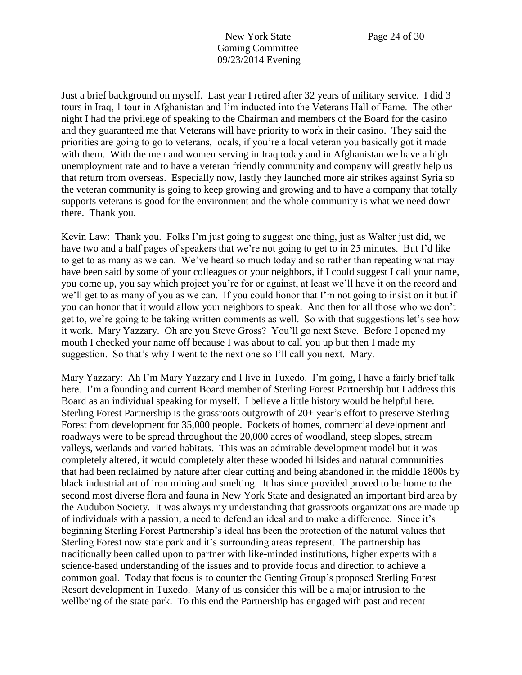Just a brief background on myself. Last year I retired after 32 years of military service. I did 3 tours in Iraq, 1 tour in Afghanistan and I'm inducted into the Veterans Hall of Fame. The other night I had the privilege of speaking to the Chairman and members of the Board for the casino and they guaranteed me that Veterans will have priority to work in their casino. They said the priorities are going to go to veterans, locals, if you're a local veteran you basically got it made with them. With the men and women serving in Iraq today and in Afghanistan we have a high unemployment rate and to have a veteran friendly community and company will greatly help us that return from overseas. Especially now, lastly they launched more air strikes against Syria so the veteran community is going to keep growing and growing and to have a company that totally supports veterans is good for the environment and the whole community is what we need down there. Thank you.

Kevin Law: Thank you. Folks I'm just going to suggest one thing, just as Walter just did, we have two and a half pages of speakers that we're not going to get to in 25 minutes. But I'd like to get to as many as we can. We've heard so much today and so rather than repeating what may have been said by some of your colleagues or your neighbors, if I could suggest I call your name, you come up, you say which project you're for or against, at least we'll have it on the record and we'll get to as many of you as we can. If you could honor that I'm not going to insist on it but if you can honor that it would allow your neighbors to speak. And then for all those who we don't get to, we're going to be taking written comments as well. So with that suggestions let's see how it work. Mary Yazzary. Oh are you Steve Gross? You'll go next Steve. Before I opened my mouth I checked your name off because I was about to call you up but then I made my suggestion. So that's why I went to the next one so I'll call you next. Mary.

Mary Yazzary: Ah I'm Mary Yazzary and I live in Tuxedo. I'm going, I have a fairly brief talk here. I'm a founding and current Board member of Sterling Forest Partnership but I address this Board as an individual speaking for myself. I believe a little history would be helpful here. Sterling Forest Partnership is the grassroots outgrowth of 20+ year's effort to preserve Sterling Forest from development for 35,000 people. Pockets of homes, commercial development and roadways were to be spread throughout the 20,000 acres of woodland, steep slopes, stream valleys, wetlands and varied habitats. This was an admirable development model but it was completely altered, it would completely alter these wooded hillsides and natural communities that had been reclaimed by nature after clear cutting and being abandoned in the middle 1800s by black industrial art of iron mining and smelting. It has since provided proved to be home to the second most diverse flora and fauna in New York State and designated an important bird area by the Audubon Society. It was always my understanding that grassroots organizations are made up of individuals with a passion, a need to defend an ideal and to make a difference. Since it's beginning Sterling Forest Partnership's ideal has been the protection of the natural values that Sterling Forest now state park and it's surrounding areas represent. The partnership has traditionally been called upon to partner with like-minded institutions, higher experts with a science-based understanding of the issues and to provide focus and direction to achieve a common goal. Today that focus is to counter the Genting Group's proposed Sterling Forest Resort development in Tuxedo. Many of us consider this will be a major intrusion to the wellbeing of the state park. To this end the Partnership has engaged with past and recent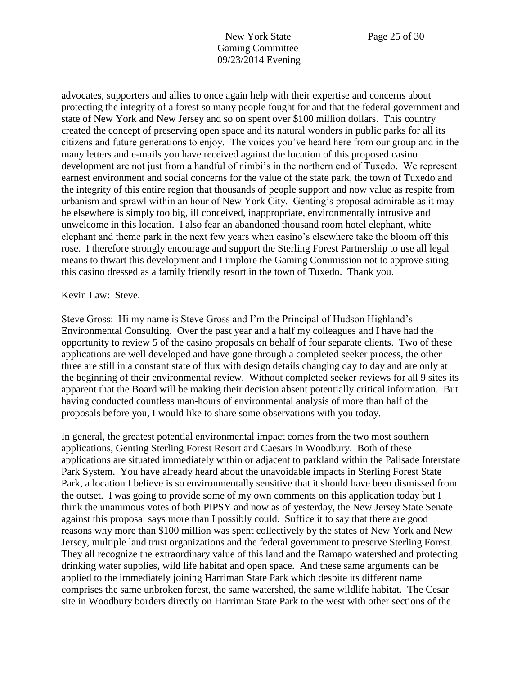advocates, supporters and allies to once again help with their expertise and concerns about protecting the integrity of a forest so many people fought for and that the federal government and state of New York and New Jersey and so on spent over \$100 million dollars. This country created the concept of preserving open space and its natural wonders in public parks for all its citizens and future generations to enjoy. The voices you've heard here from our group and in the many letters and e-mails you have received against the location of this proposed casino development are not just from a handful of nimbi's in the northern end of Tuxedo. We represent earnest environment and social concerns for the value of the state park, the town of Tuxedo and the integrity of this entire region that thousands of people support and now value as respite from urbanism and sprawl within an hour of New York City. Genting's proposal admirable as it may be elsewhere is simply too big, ill conceived, inappropriate, environmentally intrusive and unwelcome in this location. I also fear an abandoned thousand room hotel elephant, white elephant and theme park in the next few years when casino's elsewhere take the bloom off this rose. I therefore strongly encourage and support the Sterling Forest Partnership to use all legal means to thwart this development and I implore the Gaming Commission not to approve siting this casino dressed as a family friendly resort in the town of Tuxedo. Thank you.

## Kevin Law: Steve.

Steve Gross: Hi my name is Steve Gross and I'm the Principal of Hudson Highland's Environmental Consulting. Over the past year and a half my colleagues and I have had the opportunity to review 5 of the casino proposals on behalf of four separate clients. Two of these applications are well developed and have gone through a completed seeker process, the other three are still in a constant state of flux with design details changing day to day and are only at the beginning of their environmental review. Without completed seeker reviews for all 9 sites its apparent that the Board will be making their decision absent potentially critical information. But having conducted countless man-hours of environmental analysis of more than half of the proposals before you, I would like to share some observations with you today.

In general, the greatest potential environmental impact comes from the two most southern applications, Genting Sterling Forest Resort and Caesars in Woodbury. Both of these applications are situated immediately within or adjacent to parkland within the Palisade Interstate Park System. You have already heard about the unavoidable impacts in Sterling Forest State Park, a location I believe is so environmentally sensitive that it should have been dismissed from the outset. I was going to provide some of my own comments on this application today but I think the unanimous votes of both PIPSY and now as of yesterday, the New Jersey State Senate against this proposal says more than I possibly could. Suffice it to say that there are good reasons why more than \$100 million was spent collectively by the states of New York and New Jersey, multiple land trust organizations and the federal government to preserve Sterling Forest. They all recognize the extraordinary value of this land and the Ramapo watershed and protecting drinking water supplies, wild life habitat and open space. And these same arguments can be applied to the immediately joining Harriman State Park which despite its different name comprises the same unbroken forest, the same watershed, the same wildlife habitat. The Cesar site in Woodbury borders directly on Harriman State Park to the west with other sections of the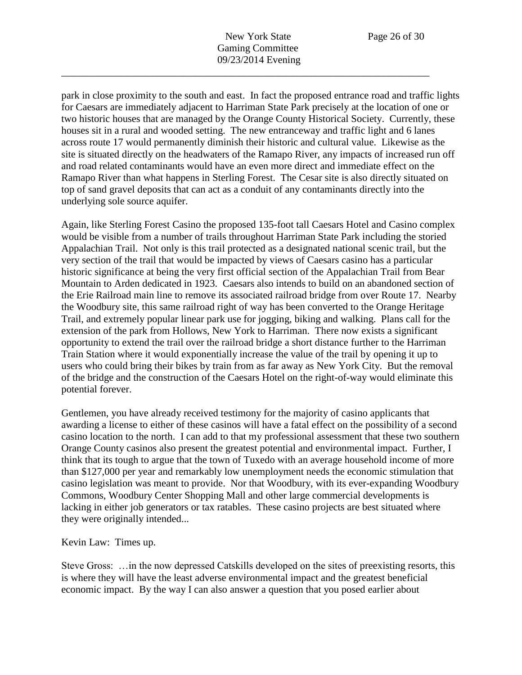park in close proximity to the south and east. In fact the proposed entrance road and traffic lights for Caesars are immediately adjacent to Harriman State Park precisely at the location of one or two historic houses that are managed by the Orange County Historical Society. Currently, these houses sit in a rural and wooded setting. The new entranceway and traffic light and 6 lanes across route 17 would permanently diminish their historic and cultural value. Likewise as the site is situated directly on the headwaters of the Ramapo River, any impacts of increased run off and road related contaminants would have an even more direct and immediate effect on the Ramapo River than what happens in Sterling Forest. The Cesar site is also directly situated on top of sand gravel deposits that can act as a conduit of any contaminants directly into the underlying sole source aquifer.

Again, like Sterling Forest Casino the proposed 135-foot tall Caesars Hotel and Casino complex would be visible from a number of trails throughout Harriman State Park including the storied Appalachian Trail. Not only is this trail protected as a designated national scenic trail, but the very section of the trail that would be impacted by views of Caesars casino has a particular historic significance at being the very first official section of the Appalachian Trail from Bear Mountain to Arden dedicated in 1923. Caesars also intends to build on an abandoned section of the Erie Railroad main line to remove its associated railroad bridge from over Route 17. Nearby the Woodbury site, this same railroad right of way has been converted to the Orange Heritage Trail, and extremely popular linear park use for jogging, biking and walking. Plans call for the extension of the park from Hollows, New York to Harriman. There now exists a significant opportunity to extend the trail over the railroad bridge a short distance further to the Harriman Train Station where it would exponentially increase the value of the trail by opening it up to users who could bring their bikes by train from as far away as New York City. But the removal of the bridge and the construction of the Caesars Hotel on the right-of-way would eliminate this potential forever.

Gentlemen, you have already received testimony for the majority of casino applicants that awarding a license to either of these casinos will have a fatal effect on the possibility of a second casino location to the north. I can add to that my professional assessment that these two southern Orange County casinos also present the greatest potential and environmental impact. Further, I think that its tough to argue that the town of Tuxedo with an average household income of more than \$127,000 per year and remarkably low unemployment needs the economic stimulation that casino legislation was meant to provide. Nor that Woodbury, with its ever-expanding Woodbury Commons, Woodbury Center Shopping Mall and other large commercial developments is lacking in either job generators or tax ratables. These casino projects are best situated where they were originally intended...

Kevin Law: Times up.

Steve Gross: …in the now depressed Catskills developed on the sites of preexisting resorts, this is where they will have the least adverse environmental impact and the greatest beneficial economic impact. By the way I can also answer a question that you posed earlier about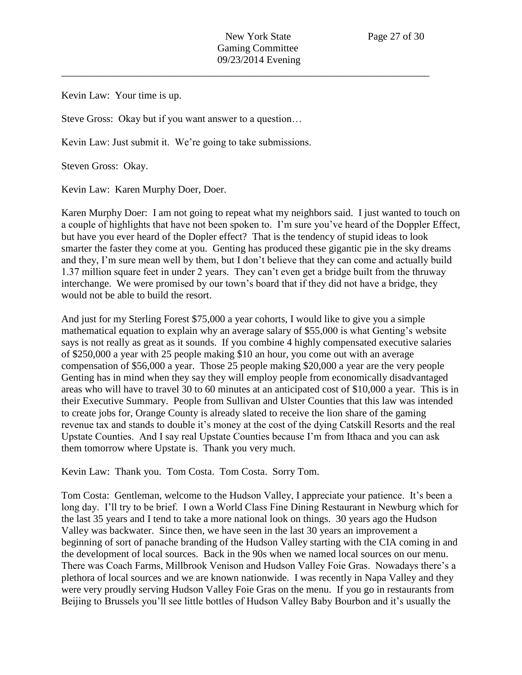Kevin Law: Your time is up.

Steve Gross: Okay but if you want answer to a question…

Kevin Law: Just submit it. We're going to take submissions.

Steven Gross: Okay.

Kevin Law: Karen Murphy Doer, Doer.

Karen Murphy Doer: I am not going to repeat what my neighbors said. I just wanted to touch on a couple of highlights that have not been spoken to. I'm sure you've heard of the Doppler Effect, but have you ever heard of the Dopler effect? That is the tendency of stupid ideas to look smarter the faster they come at you. Genting has produced these gigantic pie in the sky dreams and they, I'm sure mean well by them, but I don't believe that they can come and actually build 1.37 million square feet in under 2 years. They can't even get a bridge built from the thruway interchange. We were promised by our town's board that if they did not have a bridge, they would not be able to build the resort.

And just for my Sterling Forest \$75,000 a year cohorts, I would like to give you a simple mathematical equation to explain why an average salary of \$55,000 is what Genting's website says is not really as great as it sounds. If you combine 4 highly compensated executive salaries of \$250,000 a year with 25 people making \$10 an hour, you come out with an average compensation of \$56,000 a year. Those 25 people making \$20,000 a year are the very people Genting has in mind when they say they will employ people from economically disadvantaged areas who will have to travel 30 to 60 minutes at an anticipated cost of \$10,000 a year. This is in their Executive Summary. People from Sullivan and Ulster Counties that this law was intended to create jobs for, Orange County is already slated to receive the lion share of the gaming revenue tax and stands to double it's money at the cost of the dying Catskill Resorts and the real Upstate Counties. And I say real Upstate Counties because I'm from Ithaca and you can ask them tomorrow where Upstate is. Thank you very much.

Kevin Law: Thank you. Tom Costa. Tom Costa. Sorry Tom.

Tom Costa: Gentleman, welcome to the Hudson Valley, I appreciate your patience. It's been a long day. I'll try to be brief. I own a World Class Fine Dining Restaurant in Newburg which for the last 35 years and I tend to take a more national look on things. 30 years ago the Hudson Valley was backwater. Since then, we have seen in the last 30 years an improvement a beginning of sort of panache branding of the Hudson Valley starting with the CIA coming in and the development of local sources. Back in the 90s when we named local sources on our menu. There was Coach Farms, Millbrook Venison and Hudson Valley Foie Gras. Nowadays there's a plethora of local sources and we are known nationwide. I was recently in Napa Valley and they were very proudly serving Hudson Valley Foie Gras on the menu. If you go in restaurants from Beijing to Brussels you'll see little bottles of Hudson Valley Baby Bourbon and it's usually the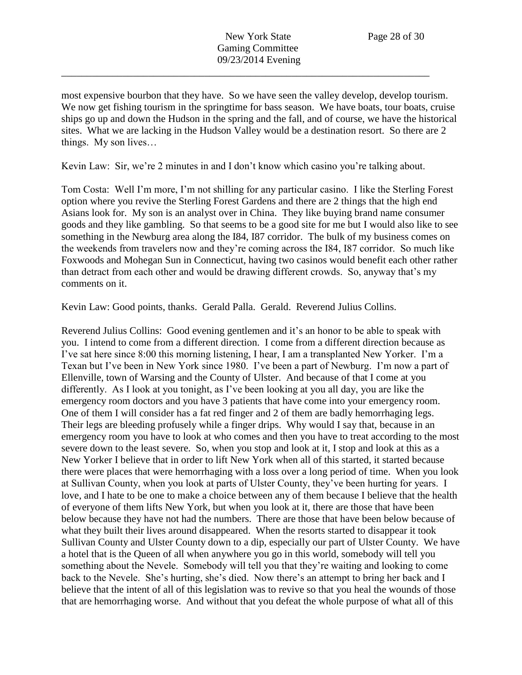most expensive bourbon that they have. So we have seen the valley develop, develop tourism. We now get fishing tourism in the springtime for bass season. We have boats, tour boats, cruise ships go up and down the Hudson in the spring and the fall, and of course, we have the historical sites. What we are lacking in the Hudson Valley would be a destination resort. So there are 2 things. My son lives…

Kevin Law: Sir, we're 2 minutes in and I don't know which casino you're talking about.

Tom Costa: Well I'm more, I'm not shilling for any particular casino. I like the Sterling Forest option where you revive the Sterling Forest Gardens and there are 2 things that the high end Asians look for. My son is an analyst over in China. They like buying brand name consumer goods and they like gambling. So that seems to be a good site for me but I would also like to see something in the Newburg area along the I84, I87 corridor. The bulk of my business comes on the weekends from travelers now and they're coming across the I84, I87 corridor. So much like Foxwoods and Mohegan Sun in Connecticut, having two casinos would benefit each other rather than detract from each other and would be drawing different crowds. So, anyway that's my comments on it.

Kevin Law: Good points, thanks. Gerald Palla. Gerald. Reverend Julius Collins.

Reverend Julius Collins: Good evening gentlemen and it's an honor to be able to speak with you. I intend to come from a different direction. I come from a different direction because as I've sat here since 8:00 this morning listening, I hear, I am a transplanted New Yorker. I'm a Texan but I've been in New York since 1980. I've been a part of Newburg. I'm now a part of Ellenville, town of Warsing and the County of Ulster. And because of that I come at you differently. As I look at you tonight, as I've been looking at you all day, you are like the emergency room doctors and you have 3 patients that have come into your emergency room. One of them I will consider has a fat red finger and 2 of them are badly hemorrhaging legs. Their legs are bleeding profusely while a finger drips. Why would I say that, because in an emergency room you have to look at who comes and then you have to treat according to the most severe down to the least severe. So, when you stop and look at it, I stop and look at this as a New Yorker I believe that in order to lift New York when all of this started, it started because there were places that were hemorrhaging with a loss over a long period of time. When you look at Sullivan County, when you look at parts of Ulster County, they've been hurting for years. I love, and I hate to be one to make a choice between any of them because I believe that the health of everyone of them lifts New York, but when you look at it, there are those that have been below because they have not had the numbers. There are those that have been below because of what they built their lives around disappeared. When the resorts started to disappear it took Sullivan County and Ulster County down to a dip, especially our part of Ulster County. We have a hotel that is the Queen of all when anywhere you go in this world, somebody will tell you something about the Nevele. Somebody will tell you that they're waiting and looking to come back to the Nevele. She's hurting, she's died. Now there's an attempt to bring her back and I believe that the intent of all of this legislation was to revive so that you heal the wounds of those that are hemorrhaging worse. And without that you defeat the whole purpose of what all of this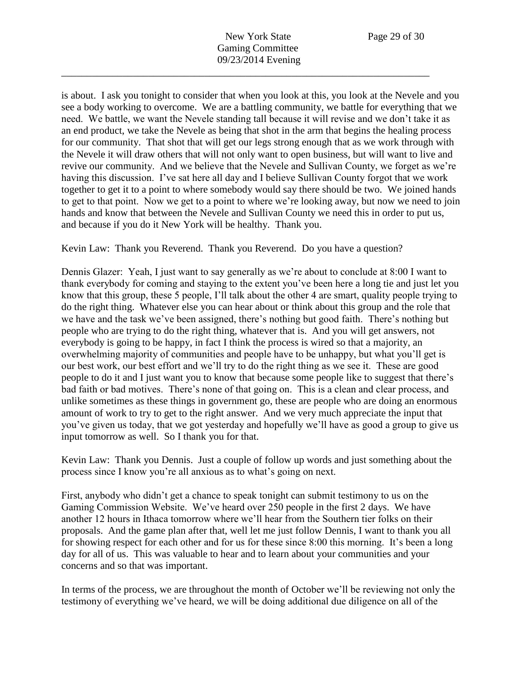is about. I ask you tonight to consider that when you look at this, you look at the Nevele and you see a body working to overcome. We are a battling community, we battle for everything that we need. We battle, we want the Nevele standing tall because it will revise and we don't take it as an end product, we take the Nevele as being that shot in the arm that begins the healing process for our community. That shot that will get our legs strong enough that as we work through with the Nevele it will draw others that will not only want to open business, but will want to live and revive our community. And we believe that the Nevele and Sullivan County, we forget as we're having this discussion. I've sat here all day and I believe Sullivan County forgot that we work together to get it to a point to where somebody would say there should be two. We joined hands to get to that point. Now we get to a point to where we're looking away, but now we need to join hands and know that between the Nevele and Sullivan County we need this in order to put us, and because if you do it New York will be healthy. Thank you.

Kevin Law: Thank you Reverend. Thank you Reverend. Do you have a question?

Dennis Glazer: Yeah, I just want to say generally as we're about to conclude at 8:00 I want to thank everybody for coming and staying to the extent you've been here a long tie and just let you know that this group, these 5 people, I'll talk about the other 4 are smart, quality people trying to do the right thing. Whatever else you can hear about or think about this group and the role that we have and the task we've been assigned, there's nothing but good faith. There's nothing but people who are trying to do the right thing, whatever that is. And you will get answers, not everybody is going to be happy, in fact I think the process is wired so that a majority, an overwhelming majority of communities and people have to be unhappy, but what you'll get is our best work, our best effort and we'll try to do the right thing as we see it. These are good people to do it and I just want you to know that because some people like to suggest that there's bad faith or bad motives. There's none of that going on. This is a clean and clear process, and unlike sometimes as these things in government go, these are people who are doing an enormous amount of work to try to get to the right answer. And we very much appreciate the input that you've given us today, that we got yesterday and hopefully we'll have as good a group to give us input tomorrow as well. So I thank you for that.

Kevin Law: Thank you Dennis. Just a couple of follow up words and just something about the process since I know you're all anxious as to what's going on next.

First, anybody who didn't get a chance to speak tonight can submit testimony to us on the Gaming Commission Website. We've heard over 250 people in the first 2 days. We have another 12 hours in Ithaca tomorrow where we'll hear from the Southern tier folks on their proposals. And the game plan after that, well let me just follow Dennis, I want to thank you all for showing respect for each other and for us for these since 8:00 this morning. It's been a long day for all of us. This was valuable to hear and to learn about your communities and your concerns and so that was important.

In terms of the process, we are throughout the month of October we'll be reviewing not only the testimony of everything we've heard, we will be doing additional due diligence on all of the